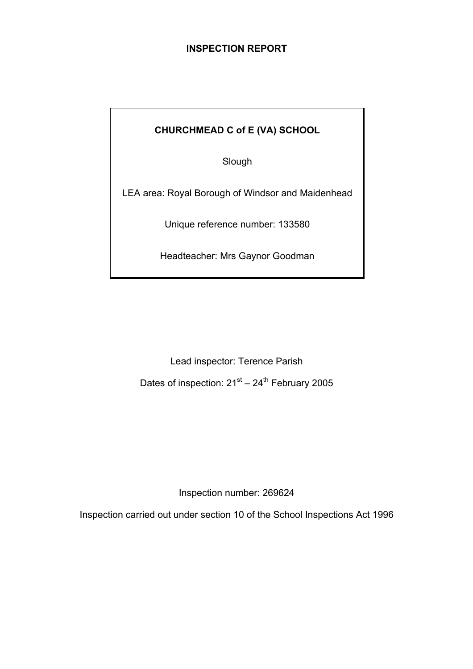# **INSPECTION REPORT**

# **CHURCHMEAD C of E (VA) SCHOOL**

Slough

LEA area: Royal Borough of Windsor and Maidenhead

Unique reference number: 133580

Headteacher: Mrs Gaynor Goodman

Lead inspector: Terence Parish Dates of inspection:  $21^{st} - 24^{th}$  February 2005

Inspection number: 269624

Inspection carried out under section 10 of the School Inspections Act 1996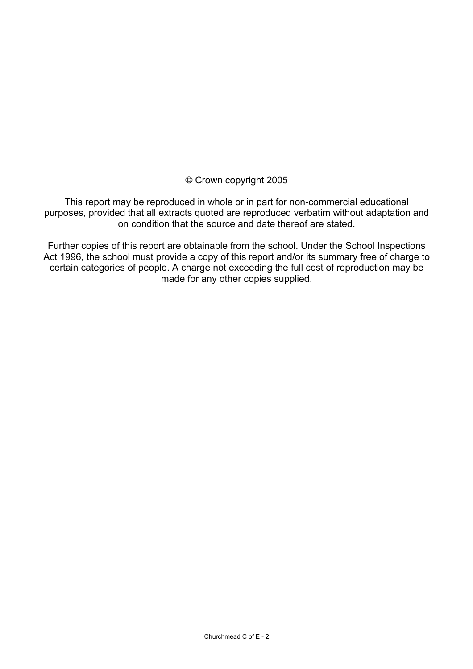# © Crown copyright 2005

This report may be reproduced in whole or in part for non-commercial educational purposes, provided that all extracts quoted are reproduced verbatim without adaptation and on condition that the source and date thereof are stated.

Further copies of this report are obtainable from the school. Under the School Inspections Act 1996, the school must provide a copy of this report and/or its summary free of charge to certain categories of people. A charge not exceeding the full cost of reproduction may be made for any other copies supplied.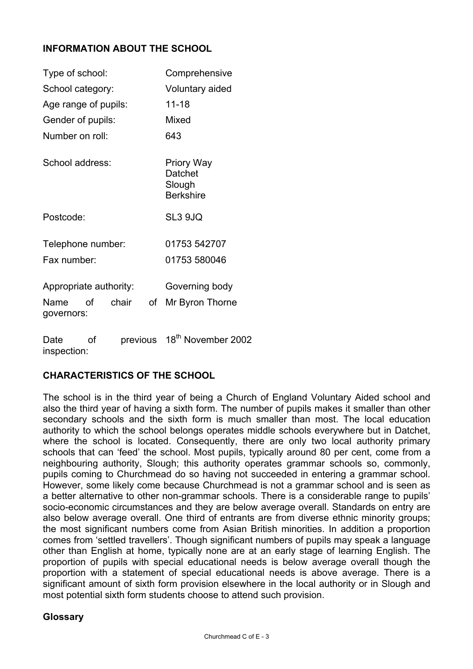# **INFORMATION ABOUT THE SCHOOL**

| Type of school:        |    |          | Comprehensive   |                                                            |  |
|------------------------|----|----------|-----------------|------------------------------------------------------------|--|
| School category:       |    |          | Voluntary aided |                                                            |  |
| Age range of pupils:   |    |          | $11 - 18$       |                                                            |  |
| Gender of pupils:      |    |          |                 | Mixed                                                      |  |
| Number on roll:        |    |          |                 | 643                                                        |  |
| School address:        |    |          |                 | <b>Priory Way</b><br>Datchet<br>Slough<br><b>Berkshire</b> |  |
| Postcode:              |    |          |                 | SL3 9JQ                                                    |  |
| Telephone number:      |    |          |                 | 01753 542707                                               |  |
| Fax number:            |    |          |                 | 01753 580046                                               |  |
| Appropriate authority: |    |          |                 | Governing body                                             |  |
| Name<br>governors:     | οf | chair    | of              | Mr Byron Thorne                                            |  |
| Date                   | οf | previous |                 | 18 <sup>th</sup> November 2002                             |  |

inspection:

## **CHARACTERISTICS OF THE SCHOOL**

The school is in the third year of being a Church of England Voluntary Aided school and also the third year of having a sixth form. The number of pupils makes it smaller than other secondary schools and the sixth form is much smaller than most. The local education authority to which the school belongs operates middle schools everywhere but in Datchet, where the school is located. Consequently, there are only two local authority primary schools that can 'feed' the school. Most pupils, typically around 80 per cent, come from a neighbouring authority, Slough; this authority operates grammar schools so, commonly, pupils coming to Churchmead do so having not succeeded in entering a grammar school. However, some likely come because Churchmead is not a grammar school and is seen as a better alternative to other non-grammar schools. There is a considerable range to pupils' socio-economic circumstances and they are below average overall. Standards on entry are also below average overall. One third of entrants are from diverse ethnic minority groups; the most significant numbers come from Asian British minorities. In addition a proportion comes from 'settled travellers'. Though significant numbers of pupils may speak a language other than English at home, typically none are at an early stage of learning English. The proportion of pupils with special educational needs is below average overall though the proportion with a statement of special educational needs is above average. There is a significant amount of sixth form provision elsewhere in the local authority or in Slough and most potential sixth form students choose to attend such provision.

## **Glossary**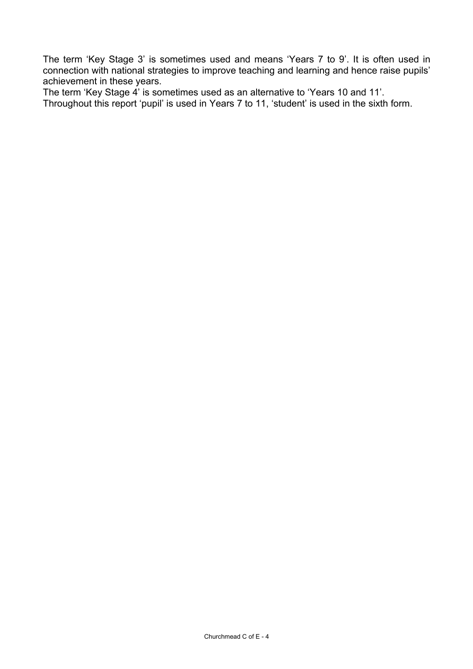The term 'Key Stage 3' is sometimes used and means 'Years 7 to 9'. It is often used in connection with national strategies to improve teaching and learning and hence raise pupils' achievement in these years.

The term 'Key Stage 4' is sometimes used as an alternative to 'Years 10 and 11'.

Throughout this report 'pupil' is used in Years 7 to 11, 'student' is used in the sixth form.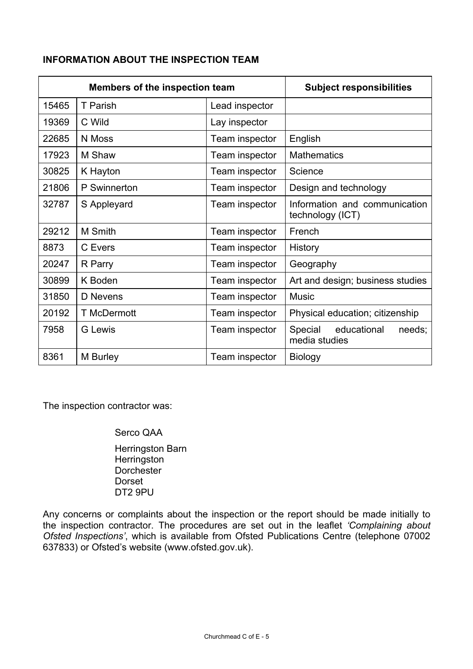# **INFORMATION ABOUT THE INSPECTION TEAM**

| <b>Members of the inspection team</b> |                    | <b>Subject responsibilities</b> |                                                   |  |  |
|---------------------------------------|--------------------|---------------------------------|---------------------------------------------------|--|--|
| 15465                                 | T Parish           | Lead inspector                  |                                                   |  |  |
| 19369                                 | C Wild             | Lay inspector                   |                                                   |  |  |
| 22685                                 | N Moss             | Team inspector                  | English                                           |  |  |
| 17923                                 | M Shaw             | Team inspector                  | <b>Mathematics</b>                                |  |  |
| 30825                                 | K Hayton           | Team inspector                  | Science                                           |  |  |
| 21806                                 | P Swinnerton       | Team inspector                  | Design and technology                             |  |  |
| 32787                                 | S Appleyard        | Team inspector                  | Information and communication<br>technology (ICT) |  |  |
| 29212                                 | M Smith            | Team inspector                  | French                                            |  |  |
| 8873                                  | C Evers            | Team inspector                  | <b>History</b>                                    |  |  |
| 20247                                 | R Parry            | Team inspector                  | Geography                                         |  |  |
| 30899                                 | K Boden            | Team inspector                  | Art and design, business studies                  |  |  |
| 31850                                 | D Nevens           | Team inspector                  | <b>Music</b>                                      |  |  |
| 20192                                 | <b>T</b> McDermott | Team inspector                  | Physical education; citizenship                   |  |  |
| 7958                                  | <b>G</b> Lewis     | Team inspector                  | Special<br>educational<br>needs;<br>media studies |  |  |
| 8361                                  | M Burley           | Team inspector                  | <b>Biology</b>                                    |  |  |

The inspection contractor was:

# Serco QAA

 Herringston Barn **Herringston Dorchester**  Dorset DT2 9PU

Any concerns or complaints about the inspection or the report should be made initially to the inspection contractor. The procedures are set out in the leaflet *'Complaining about Ofsted Inspections'*, which is available from Ofsted Publications Centre (telephone 07002 637833) or Ofsted's website (www.ofsted.gov.uk).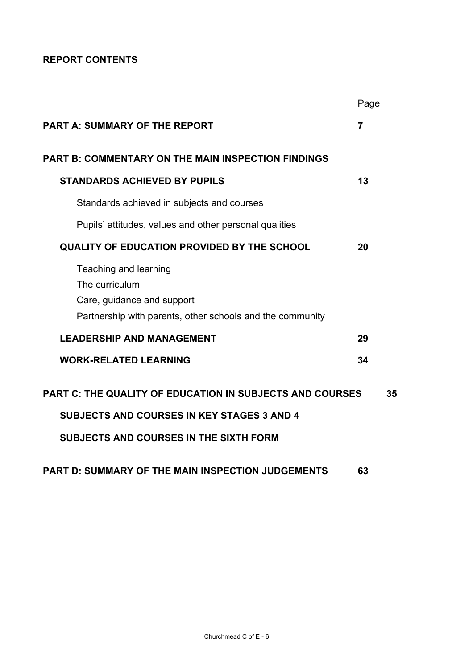# **REPORT CONTENTS**

|                                                                                                                                    | Page           |    |
|------------------------------------------------------------------------------------------------------------------------------------|----------------|----|
| <b>PART A: SUMMARY OF THE REPORT</b>                                                                                               | $\overline{7}$ |    |
| <b>PART B: COMMENTARY ON THE MAIN INSPECTION FINDINGS</b>                                                                          |                |    |
| <b>STANDARDS ACHIEVED BY PUPILS</b>                                                                                                | 13             |    |
| Standards achieved in subjects and courses                                                                                         |                |    |
| Pupils' attitudes, values and other personal qualities                                                                             |                |    |
| <b>QUALITY OF EDUCATION PROVIDED BY THE SCHOOL</b>                                                                                 | 20             |    |
| Teaching and learning<br>The curriculum<br>Care, guidance and support<br>Partnership with parents, other schools and the community |                |    |
| <b>LEADERSHIP AND MANAGEMENT</b>                                                                                                   | 29             |    |
| <b>WORK-RELATED LEARNING</b>                                                                                                       | 34             |    |
| <b>PART C: THE QUALITY OF EDUCATION IN SUBJECTS AND COURSES</b>                                                                    |                | 35 |
| <b>SUBJECTS AND COURSES IN KEY STAGES 3 AND 4</b>                                                                                  |                |    |
| <b>SUBJECTS AND COURSES IN THE SIXTH FORM</b>                                                                                      |                |    |
| PART D: SUMMARY OF THE MAIN INSPECTION JUDGEMENTS                                                                                  | 63             |    |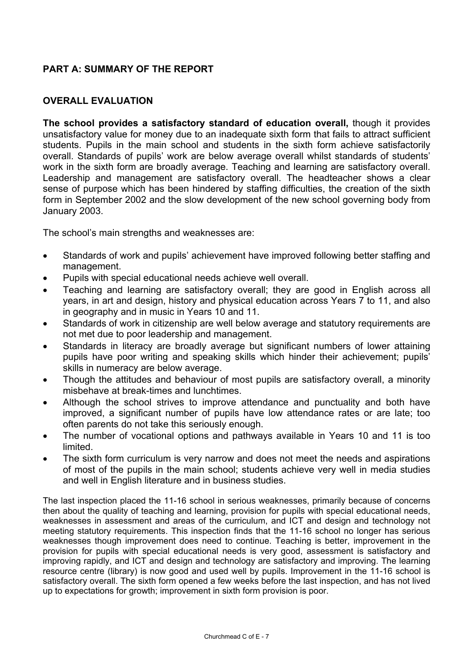# **PART A: SUMMARY OF THE REPORT**

# **OVERALL EVALUATION**

**The school provides a satisfactory standard of education overall,** though it provides unsatisfactory value for money due to an inadequate sixth form that fails to attract sufficient students. Pupils in the main school and students in the sixth form achieve satisfactorily overall. Standards of pupils' work are below average overall whilst standards of students' work in the sixth form are broadly average. Teaching and learning are satisfactory overall. Leadership and management are satisfactory overall. The headteacher shows a clear sense of purpose which has been hindered by staffing difficulties, the creation of the sixth form in September 2002 and the slow development of the new school governing body from January 2003.

The school's main strengths and weaknesses are:

- Standards of work and pupils' achievement have improved following better staffing and management.
- Pupils with special educational needs achieve well overall.
- Teaching and learning are satisfactory overall; they are good in English across all years, in art and design, history and physical education across Years 7 to 11, and also in geography and in music in Years 10 and 11.
- Standards of work in citizenship are well below average and statutory requirements are not met due to poor leadership and management.
- Standards in literacy are broadly average but significant numbers of lower attaining pupils have poor writing and speaking skills which hinder their achievement; pupils' skills in numeracy are below average.
- Though the attitudes and behaviour of most pupils are satisfactory overall, a minority misbehave at break-times and lunchtimes.
- Although the school strives to improve attendance and punctuality and both have improved, a significant number of pupils have low attendance rates or are late; too often parents do not take this seriously enough.
- The number of vocational options and pathways available in Years 10 and 11 is too limited.
- The sixth form curriculum is very narrow and does not meet the needs and aspirations of most of the pupils in the main school; students achieve very well in media studies and well in English literature and in business studies.

The last inspection placed the 11-16 school in serious weaknesses, primarily because of concerns then about the quality of teaching and learning, provision for pupils with special educational needs, weaknesses in assessment and areas of the curriculum, and ICT and design and technology not meeting statutory requirements. This inspection finds that the 11-16 school no longer has serious weaknesses though improvement does need to continue. Teaching is better, improvement in the provision for pupils with special educational needs is very good, assessment is satisfactory and improving rapidly, and ICT and design and technology are satisfactory and improving. The learning resource centre (library) is now good and used well by pupils. Improvement in the 11-16 school is satisfactory overall. The sixth form opened a few weeks before the last inspection, and has not lived up to expectations for growth; improvement in sixth form provision is poor.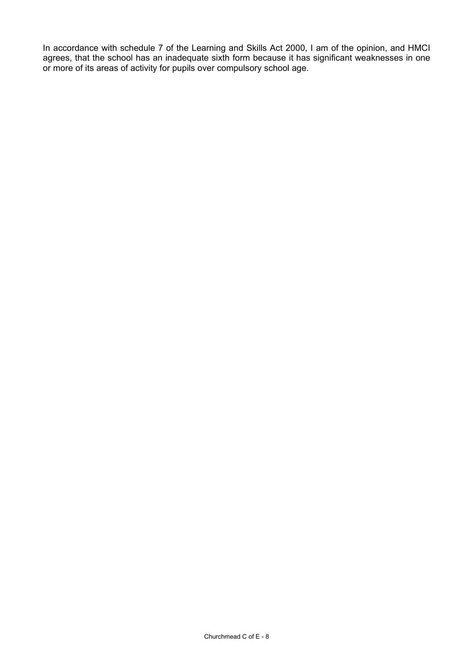In accordance with schedule 7 of the Learning and Skills Act 2000, I am of the opinion, and HMCI agrees, that the school has an inadequate sixth form because it has significant weaknesses in one or more of its areas of activity for pupils over compulsory school age.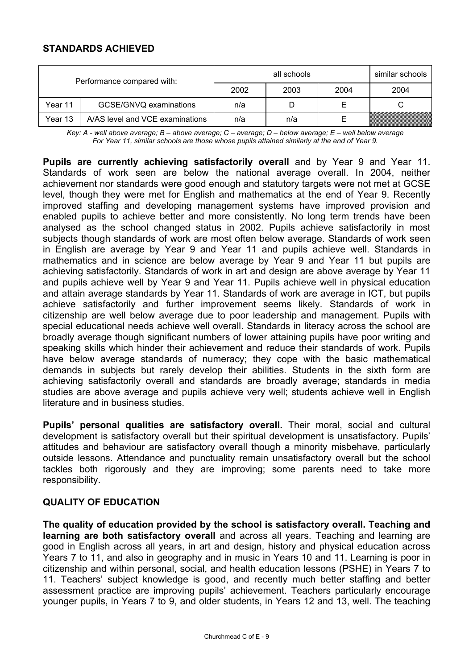# **STANDARDS ACHIEVED**

| Performance compared with: |                                 |      | similar schools |      |      |
|----------------------------|---------------------------------|------|-----------------|------|------|
|                            |                                 | 2002 | 2003            | 2004 | 2004 |
| Year 11                    | GCSE/GNVQ examinations          | n/a  |                 |      |      |
| Year 13                    | A/AS level and VCE examinations | n/a  | n/a             |      |      |

*Key: A - well above average; B – above average; C – average; D – below average; E – well below average For Year 11, similar schools are those whose pupils attained similarly at the end of Year 9.* 

**Pupils are currently achieving satisfactorily overall** and by Year 9 and Year 11. Standards of work seen are below the national average overall. In 2004, neither achievement nor standards were good enough and statutory targets were not met at GCSE level, though they were met for English and mathematics at the end of Year 9. Recently improved staffing and developing management systems have improved provision and enabled pupils to achieve better and more consistently. No long term trends have been analysed as the school changed status in 2002. Pupils achieve satisfactorily in most subjects though standards of work are most often below average. Standards of work seen in English are average by Year 9 and Year 11 and pupils achieve well. Standards in mathematics and in science are below average by Year 9 and Year 11 but pupils are achieving satisfactorily. Standards of work in art and design are above average by Year 11 and pupils achieve well by Year 9 and Year 11. Pupils achieve well in physical education and attain average standards by Year 11. Standards of work are average in ICT, but pupils achieve satisfactorily and further improvement seems likely. Standards of work in citizenship are well below average due to poor leadership and management. Pupils with special educational needs achieve well overall. Standards in literacy across the school are broadly average though significant numbers of lower attaining pupils have poor writing and speaking skills which hinder their achievement and reduce their standards of work. Pupils have below average standards of numeracy; they cope with the basic mathematical demands in subjects but rarely develop their abilities. Students in the sixth form are achieving satisfactorily overall and standards are broadly average; standards in media studies are above average and pupils achieve very well; students achieve well in English literature and in business studies.

**Pupils' personal qualities are satisfactory overall.** Their moral, social and cultural development is satisfactory overall but their spiritual development is unsatisfactory. Pupils' attitudes and behaviour are satisfactory overall though a minority misbehave, particularly outside lessons. Attendance and punctuality remain unsatisfactory overall but the school tackles both rigorously and they are improving; some parents need to take more responsibility.

## **QUALITY OF EDUCATION**

**The quality of education provided by the school is satisfactory overall. Teaching and learning are both satisfactory overall** and across all years. Teaching and learning are good in English across all years, in art and design, history and physical education across Years 7 to 11, and also in geography and in music in Years 10 and 11. Learning is poor in citizenship and within personal, social, and health education lessons (PSHE) in Years 7 to 11. Teachers' subject knowledge is good, and recently much better staffing and better assessment practice are improving pupils' achievement. Teachers particularly encourage younger pupils, in Years 7 to 9, and older students, in Years 12 and 13, well. The teaching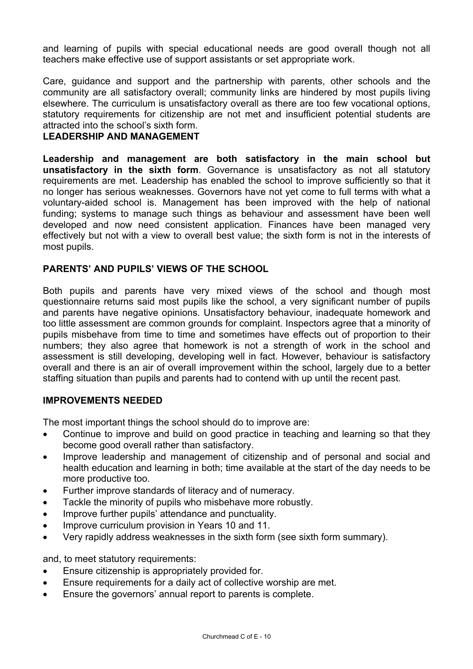and learning of pupils with special educational needs are good overall though not all teachers make effective use of support assistants or set appropriate work.

Care, guidance and support and the partnership with parents, other schools and the community are all satisfactory overall; community links are hindered by most pupils living elsewhere. The curriculum is unsatisfactory overall as there are too few vocational options, statutory requirements for citizenship are not met and insufficient potential students are attracted into the school's sixth form.

## **LEADERSHIP AND MANAGEMENT**

**Leadership and management are both satisfactory in the main school but unsatisfactory in the sixth form**. Governance is unsatisfactory as not all statutory requirements are met. Leadership has enabled the school to improve sufficiently so that it no longer has serious weaknesses. Governors have not yet come to full terms with what a voluntary-aided school is. Management has been improved with the help of national funding; systems to manage such things as behaviour and assessment have been well developed and now need consistent application. Finances have been managed very effectively but not with a view to overall best value; the sixth form is not in the interests of most pupils.

# **PARENTS' AND PUPILS' VIEWS OF THE SCHOOL**

Both pupils and parents have very mixed views of the school and though most questionnaire returns said most pupils like the school, a very significant number of pupils and parents have negative opinions. Unsatisfactory behaviour, inadequate homework and too little assessment are common grounds for complaint. Inspectors agree that a minority of pupils misbehave from time to time and sometimes have effects out of proportion to their numbers; they also agree that homework is not a strength of work in the school and assessment is still developing, developing well in fact. However, behaviour is satisfactory overall and there is an air of overall improvement within the school, largely due to a better staffing situation than pupils and parents had to contend with up until the recent past.

## **IMPROVEMENTS NEEDED**

The most important things the school should do to improve are:

- Continue to improve and build on good practice in teaching and learning so that they become good overall rather than satisfactory.
- Improve leadership and management of citizenship and of personal and social and health education and learning in both; time available at the start of the day needs to be more productive too.
- Further improve standards of literacy and of numeracy.
- Tackle the minority of pupils who misbehave more robustly.
- Improve further pupils' attendance and punctuality.
- Improve curriculum provision in Years 10 and 11.
- Very rapidly address weaknesses in the sixth form (see sixth form summary).

and, to meet statutory requirements:

- Ensure citizenship is appropriately provided for.
- Ensure requirements for a daily act of collective worship are met.
- Ensure the governors' annual report to parents is complete.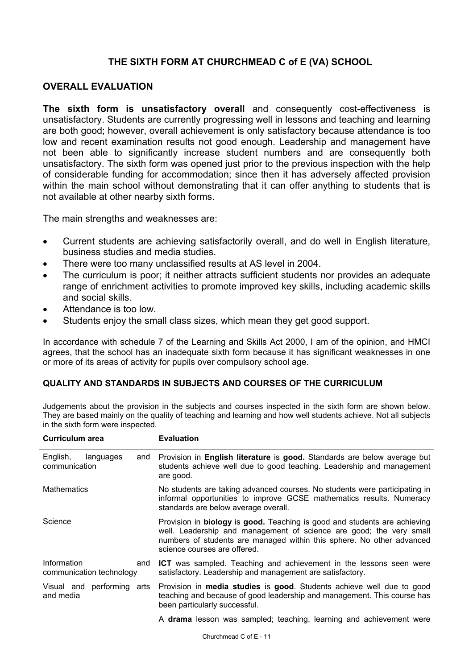# **THE SIXTH FORM AT CHURCHMEAD C of E (VA) SCHOOL**

#### **OVERALL EVALUATION**

**The sixth form is unsatisfactory overall** and consequently cost-effectiveness is unsatisfactory. Students are currently progressing well in lessons and teaching and learning are both good; however, overall achievement is only satisfactory because attendance is too low and recent examination results not good enough. Leadership and management have not been able to significantly increase student numbers and are consequently both unsatisfactory. The sixth form was opened just prior to the previous inspection with the help of considerable funding for accommodation; since then it has adversely affected provision within the main school without demonstrating that it can offer anything to students that is not available at other nearby sixth forms.

The main strengths and weaknesses are:

- Current students are achieving satisfactorily overall, and do well in English literature, business studies and media studies.
- There were too many unclassified results at AS level in 2004.
- The curriculum is poor; it neither attracts sufficient students nor provides an adequate range of enrichment activities to promote improved key skills, including academic skills and social skills.
- Attendance is too low.
- Students enjoy the small class sizes, which mean they get good support.

In accordance with schedule 7 of the Learning and Skills Act 2000, I am of the opinion, and HMCI agrees, that the school has an inadequate sixth form because it has significant weaknesses in one or more of its areas of activity for pupils over compulsory school age.

#### **QUALITY AND STANDARDS IN SUBJECTS AND COURSES OF THE CURRICULUM**

Judgements about the provision in the subjects and courses inspected in the sixth form are shown below. They are based mainly on the quality of teaching and learning and how well students achieve. Not all subjects in the sixth form were inspected.

| Curriculum area                                | <b>Evaluation</b>                                                                                                                                                                                                                                                |  |  |  |
|------------------------------------------------|------------------------------------------------------------------------------------------------------------------------------------------------------------------------------------------------------------------------------------------------------------------|--|--|--|
| English,<br>languages<br>and<br>communication  | Provision in English literature is good. Standards are below average but<br>students achieve well due to good teaching. Leadership and management<br>are good.                                                                                                   |  |  |  |
| <b>Mathematics</b>                             | No students are taking advanced courses. No students were participating in<br>informal opportunities to improve GCSE mathematics results. Numeracy<br>standards are below average overall.                                                                       |  |  |  |
| Science                                        | Provision in <b>biology</b> is good. Teaching is good and students are achieving<br>well. Leadership and management of science are good; the very small<br>numbers of students are managed within this sphere. No other advanced<br>science courses are offered. |  |  |  |
| Information<br>and<br>communication technology | <b>ICT</b> was sampled. Teaching and achievement in the lessons seen were<br>satisfactory. Leadership and management are satisfactory.                                                                                                                           |  |  |  |
| and media                                      | Visual and performing arts Provision in media studies is good. Students achieve well due to good<br>teaching and because of good leadership and management. This course has<br>been particularly successful.                                                     |  |  |  |
|                                                | A drama lesson was sampled; teaching, learning and achievement were                                                                                                                                                                                              |  |  |  |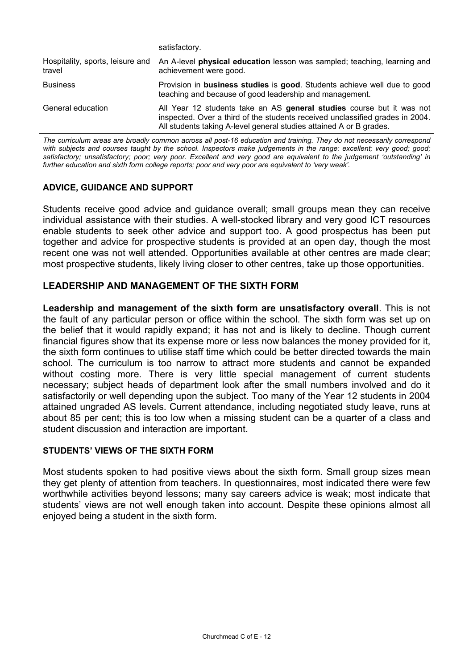|                                            | satisfactory.                                                                                                                                                                                                                 |
|--------------------------------------------|-------------------------------------------------------------------------------------------------------------------------------------------------------------------------------------------------------------------------------|
| Hospitality, sports, leisure and<br>travel | An A-level physical education lesson was sampled; teaching, learning and<br>achievement were good.                                                                                                                            |
| <b>Business</b>                            | Provision in business studies is good. Students achieve well due to good<br>teaching and because of good leadership and management.                                                                                           |
| General education                          | All Year 12 students take an AS general studies course but it was not<br>inspected. Over a third of the students received unclassified grades in 2004.<br>All students taking A-level general studies attained A or B grades. |

*The curriculum areas are broadly common across all post-16 education and training. They do not necessarily correspond*  with subjects and courses taught by the school. Inspectors make judgements in the range: excellent; very good; good; *satisfactory; unsatisfactory; poor; very poor. Excellent and very good are equivalent to the judgement 'outstanding' in further education and sixth form college reports; poor and very poor are equivalent to 'very weak'.* 

## **ADVICE, GUIDANCE AND SUPPORT**

Students receive good advice and guidance overall; small groups mean they can receive individual assistance with their studies. A well-stocked library and very good ICT resources enable students to seek other advice and support too. A good prospectus has been put together and advice for prospective students is provided at an open day, though the most recent one was not well attended. Opportunities available at other centres are made clear; most prospective students, likely living closer to other centres, take up those opportunities.

## **LEADERSHIP AND MANAGEMENT OF THE SIXTH FORM**

**Leadership and management of the sixth form are unsatisfactory overall**. This is not the fault of any particular person or office within the school. The sixth form was set up on the belief that it would rapidly expand; it has not and is likely to decline. Though current financial figures show that its expense more or less now balances the money provided for it, the sixth form continues to utilise staff time which could be better directed towards the main school. The curriculum is too narrow to attract more students and cannot be expanded without costing more. There is very little special management of current students necessary; subject heads of department look after the small numbers involved and do it satisfactorily or well depending upon the subject. Too many of the Year 12 students in 2004 attained ungraded AS levels. Current attendance, including negotiated study leave, runs at about 85 per cent; this is too low when a missing student can be a quarter of a class and student discussion and interaction are important.

#### **STUDENTS' VIEWS OF THE SIXTH FORM**

Most students spoken to had positive views about the sixth form. Small group sizes mean they get plenty of attention from teachers. In questionnaires, most indicated there were few worthwhile activities beyond lessons; many say careers advice is weak; most indicate that students' views are not well enough taken into account. Despite these opinions almost all enjoyed being a student in the sixth form.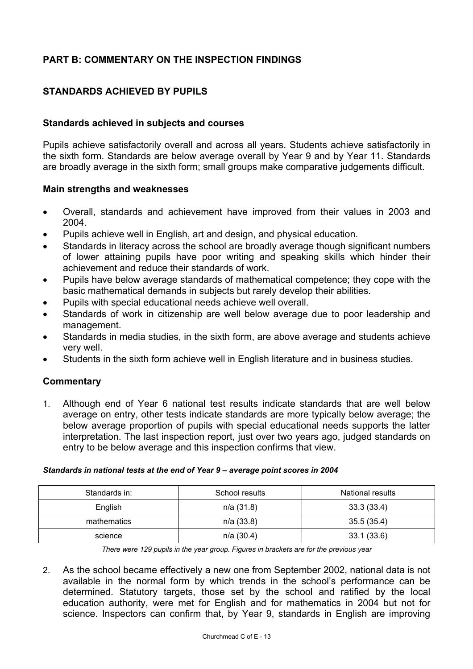# **PART B: COMMENTARY ON THE INSPECTION FINDINGS**

# **STANDARDS ACHIEVED BY PUPILS**

## **Standards achieved in subjects and courses**

Pupils achieve satisfactorily overall and across all years. Students achieve satisfactorily in the sixth form. Standards are below average overall by Year 9 and by Year 11. Standards are broadly average in the sixth form; small groups make comparative judgements difficult.

#### **Main strengths and weaknesses**

- Overall, standards and achievement have improved from their values in 2003 and 2004.
- Pupils achieve well in English, art and design, and physical education.
- Standards in literacy across the school are broadly average though significant numbers of lower attaining pupils have poor writing and speaking skills which hinder their achievement and reduce their standards of work.
- Pupils have below average standards of mathematical competence; they cope with the basic mathematical demands in subjects but rarely develop their abilities.
- Pupils with special educational needs achieve well overall.
- Standards of work in citizenship are well below average due to poor leadership and management.
- Standards in media studies, in the sixth form, are above average and students achieve very well.
- Students in the sixth form achieve well in English literature and in business studies.

## **Commentary**

1. Although end of Year 6 national test results indicate standards that are well below average on entry, other tests indicate standards are more typically below average; the below average proportion of pupils with special educational needs supports the latter interpretation. The last inspection report, just over two years ago, judged standards on entry to be below average and this inspection confirms that view.

#### *Standards in national tests at the end of Year 9 – average point scores in 2004*

| Standards in: | School results | <b>National results</b> |
|---------------|----------------|-------------------------|
| English       | n/a(31.8)      | 33.3(33.4)              |
| mathematics   | $n/a$ (33.8)   | 35.5(35.4)              |
| science       | $n/a$ (30.4)   | 33.1(33.6)              |

*There were 129 pupils in the year group. Figures in brackets are for the previous year* 

2. As the school became effectively a new one from September 2002, national data is not available in the normal form by which trends in the school's performance can be determined. Statutory targets, those set by the school and ratified by the local education authority, were met for English and for mathematics in 2004 but not for science. Inspectors can confirm that, by Year 9, standards in English are improving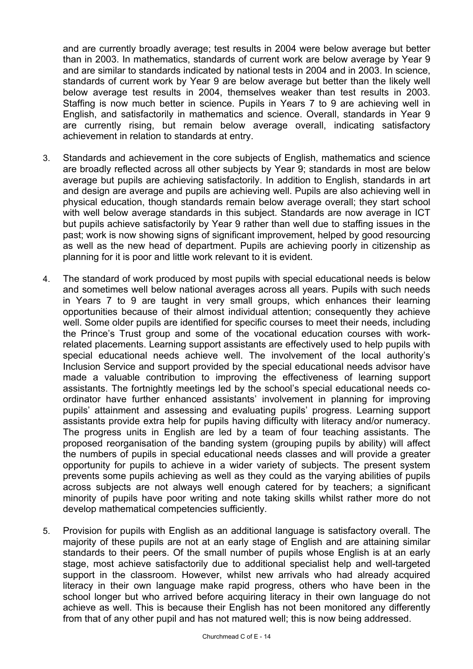and are currently broadly average; test results in 2004 were below average but better than in 2003. In mathematics, standards of current work are below average by Year 9 and are similar to standards indicated by national tests in 2004 and in 2003. In science, standards of current work by Year 9 are below average but better than the likely well below average test results in 2004, themselves weaker than test results in 2003. Staffing is now much better in science. Pupils in Years 7 to 9 are achieving well in English, and satisfactorily in mathematics and science. Overall, standards in Year 9 are currently rising, but remain below average overall, indicating satisfactory achievement in relation to standards at entry.

- 3. Standards and achievement in the core subjects of English, mathematics and science are broadly reflected across all other subjects by Year 9; standards in most are below average but pupils are achieving satisfactorily. In addition to English, standards in art and design are average and pupils are achieving well. Pupils are also achieving well in physical education, though standards remain below average overall; they start school with well below average standards in this subject. Standards are now average in ICT but pupils achieve satisfactorily by Year 9 rather than well due to staffing issues in the past; work is now showing signs of significant improvement, helped by good resourcing as well as the new head of department. Pupils are achieving poorly in citizenship as planning for it is poor and little work relevant to it is evident.
- 4. The standard of work produced by most pupils with special educational needs is below and sometimes well below national averages across all years. Pupils with such needs in Years 7 to 9 are taught in very small groups, which enhances their learning opportunities because of their almost individual attention; consequently they achieve well. Some older pupils are identified for specific courses to meet their needs, including the Prince's Trust group and some of the vocational education courses with workrelated placements. Learning support assistants are effectively used to help pupils with special educational needs achieve well. The involvement of the local authority's Inclusion Service and support provided by the special educational needs advisor have made a valuable contribution to improving the effectiveness of learning support assistants. The fortnightly meetings led by the school's special educational needs coordinator have further enhanced assistants' involvement in planning for improving pupils' attainment and assessing and evaluating pupils' progress. Learning support assistants provide extra help for pupils having difficulty with literacy and/or numeracy. The progress units in English are led by a team of four teaching assistants. The proposed reorganisation of the banding system (grouping pupils by ability) will affect the numbers of pupils in special educational needs classes and will provide a greater opportunity for pupils to achieve in a wider variety of subjects. The present system prevents some pupils achieving as well as they could as the varying abilities of pupils across subjects are not always well enough catered for by teachers; a significant minority of pupils have poor writing and note taking skills whilst rather more do not develop mathematical competencies sufficiently.
- 5. Provision for pupils with English as an additional language is satisfactory overall. The majority of these pupils are not at an early stage of English and are attaining similar standards to their peers. Of the small number of pupils whose English is at an early stage, most achieve satisfactorily due to additional specialist help and well-targeted support in the classroom. However, whilst new arrivals who had already acquired literacy in their own language make rapid progress, others who have been in the school longer but who arrived before acquiring literacy in their own language do not achieve as well. This is because their English has not been monitored any differently from that of any other pupil and has not matured well; this is now being addressed.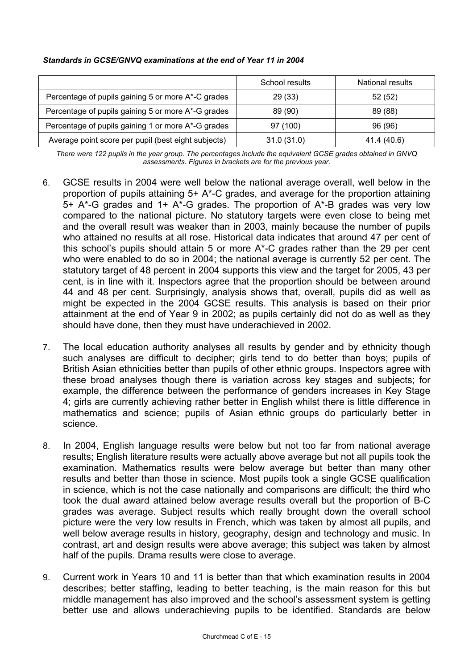#### *Standards in GCSE/GNVQ examinations at the end of Year 11 in 2004*

|                                                     | School results | <b>National results</b> |
|-----------------------------------------------------|----------------|-------------------------|
| Percentage of pupils gaining 5 or more A*-C grades  | 29 (33)        | 52 (52)                 |
| Percentage of pupils gaining 5 or more A*-G grades  | 89 (90)        | 89 (88)                 |
| Percentage of pupils gaining 1 or more A*-G grades  | 97 (100)       | 96 (96)                 |
| Average point score per pupil (best eight subjects) | 31.0(31.0)     | 41.4 (40.6)             |

*There were 122 pupils in the year group. The percentages include the equivalent GCSE grades obtained in GNVQ assessments. Figures in brackets are for the previous year.* 

- 6. GCSE results in 2004 were well below the national average overall, well below in the proportion of pupils attaining 5+ A\*-C grades, and average for the proportion attaining 5+ A\*-G grades and 1+ A\*-G grades. The proportion of A\*-B grades was very low compared to the national picture. No statutory targets were even close to being met and the overall result was weaker than in 2003, mainly because the number of pupils who attained no results at all rose. Historical data indicates that around 47 per cent of this school's pupils should attain 5 or more A\*-C grades rather than the 29 per cent who were enabled to do so in 2004; the national average is currently 52 per cent. The statutory target of 48 percent in 2004 supports this view and the target for 2005, 43 per cent, is in line with it. Inspectors agree that the proportion should be between around 44 and 48 per cent. Surprisingly, analysis shows that, overall, pupils did as well as might be expected in the 2004 GCSE results. This analysis is based on their prior attainment at the end of Year 9 in 2002; as pupils certainly did not do as well as they should have done, then they must have underachieved in 2002.
- 7. The local education authority analyses all results by gender and by ethnicity though such analyses are difficult to decipher; girls tend to do better than boys; pupils of British Asian ethnicities better than pupils of other ethnic groups. Inspectors agree with these broad analyses though there is variation across key stages and subjects; for example, the difference between the performance of genders increases in Key Stage 4; girls are currently achieving rather better in English whilst there is little difference in mathematics and science; pupils of Asian ethnic groups do particularly better in science.
- 8. In 2004, English language results were below but not too far from national average results; English literature results were actually above average but not all pupils took the examination. Mathematics results were below average but better than many other results and better than those in science. Most pupils took a single GCSE qualification in science, which is not the case nationally and comparisons are difficult; the third who took the dual award attained below average results overall but the proportion of B-C grades was average. Subject results which really brought down the overall school picture were the very low results in French, which was taken by almost all pupils, and well below average results in history, geography, design and technology and music. In contrast, art and design results were above average; this subject was taken by almost half of the pupils. Drama results were close to average.
- 9. Current work in Years 10 and 11 is better than that which examination results in 2004 describes; better staffing, leading to better teaching, is the main reason for this but middle management has also improved and the school's assessment system is getting better use and allows underachieving pupils to be identified. Standards are below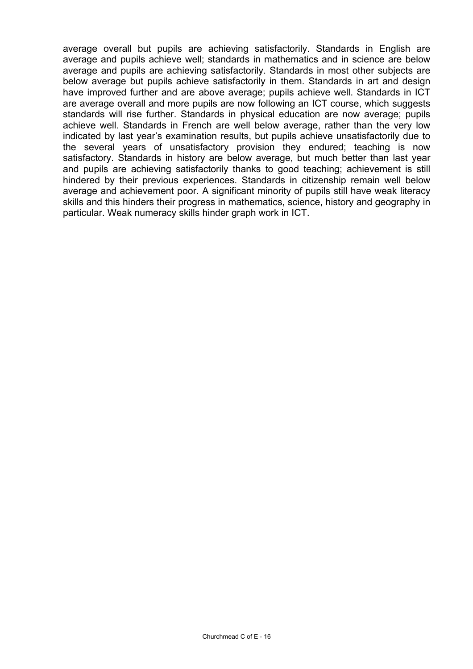average overall but pupils are achieving satisfactorily. Standards in English are average and pupils achieve well; standards in mathematics and in science are below average and pupils are achieving satisfactorily. Standards in most other subjects are below average but pupils achieve satisfactorily in them. Standards in art and design have improved further and are above average; pupils achieve well. Standards in ICT are average overall and more pupils are now following an ICT course, which suggests standards will rise further. Standards in physical education are now average; pupils achieve well. Standards in French are well below average, rather than the very low indicated by last year's examination results, but pupils achieve unsatisfactorily due to the several years of unsatisfactory provision they endured; teaching is now satisfactory. Standards in history are below average, but much better than last year and pupils are achieving satisfactorily thanks to good teaching; achievement is still hindered by their previous experiences. Standards in citizenship remain well below average and achievement poor. A significant minority of pupils still have weak literacy skills and this hinders their progress in mathematics, science, history and geography in particular. Weak numeracy skills hinder graph work in ICT.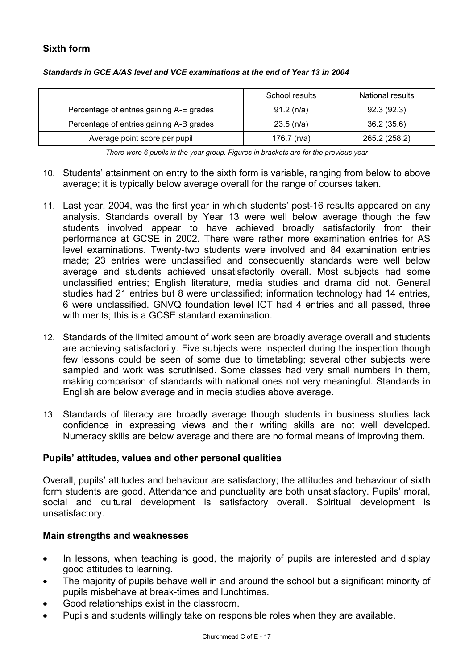# **Sixth form**

|                                          | School results | National results |
|------------------------------------------|----------------|------------------|
| Percentage of entries gaining A-E grades | 91.2(n/a)      | 92.3(92.3)       |
| Percentage of entries gaining A-B grades | $23.5$ (n/a)   | 36.2 (35.6)      |
| Average point score per pupil            | 176.7 $(n/a)$  | 265.2 (258.2)    |

#### *Standards in GCE A/AS level and VCE examinations at the end of Year 13 in 2004*

*There were 6 pupils in the year group. Figures in brackets are for the previous year* 

- 10. Students' attainment on entry to the sixth form is variable, ranging from below to above average; it is typically below average overall for the range of courses taken.
- 11. Last year, 2004, was the first year in which students' post-16 results appeared on any analysis. Standards overall by Year 13 were well below average though the few students involved appear to have achieved broadly satisfactorily from their performance at GCSE in 2002. There were rather more examination entries for AS level examinations. Twenty-two students were involved and 84 examination entries made; 23 entries were unclassified and consequently standards were well below average and students achieved unsatisfactorily overall. Most subjects had some unclassified entries; English literature, media studies and drama did not. General studies had 21 entries but 8 were unclassified; information technology had 14 entries, 6 were unclassified. GNVQ foundation level ICT had 4 entries and all passed, three with merits; this is a GCSE standard examination.
- 12. Standards of the limited amount of work seen are broadly average overall and students are achieving satisfactorily. Five subjects were inspected during the inspection though few lessons could be seen of some due to timetabling; several other subjects were sampled and work was scrutinised. Some classes had very small numbers in them, making comparison of standards with national ones not very meaningful. Standards in English are below average and in media studies above average.
- 13. Standards of literacy are broadly average though students in business studies lack confidence in expressing views and their writing skills are not well developed. Numeracy skills are below average and there are no formal means of improving them.

## **Pupils' attitudes, values and other personal qualities**

Overall, pupils' attitudes and behaviour are satisfactory; the attitudes and behaviour of sixth form students are good. Attendance and punctuality are both unsatisfactory. Pupils' moral, social and cultural development is satisfactory overall. Spiritual development is unsatisfactory.

## **Main strengths and weaknesses**

- In lessons, when teaching is good, the majority of pupils are interested and display good attitudes to learning.
- The majority of pupils behave well in and around the school but a significant minority of pupils misbehave at break-times and lunchtimes.
- Good relationships exist in the classroom.
- Pupils and students willingly take on responsible roles when they are available.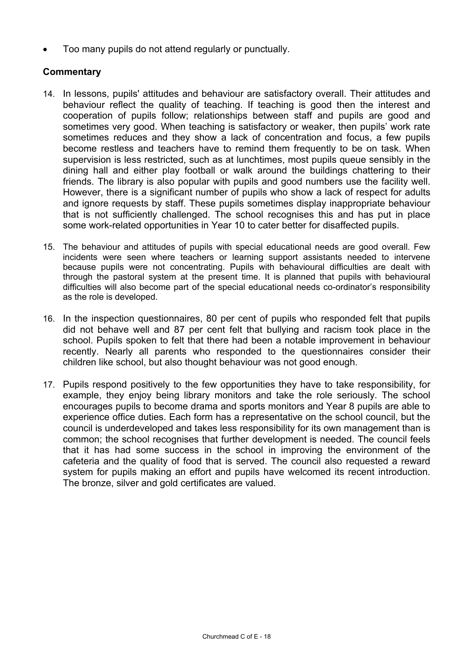• Too many pupils do not attend regularly or punctually.

- 14. In lessons, pupils' attitudes and behaviour are satisfactory overall. Their attitudes and behaviour reflect the quality of teaching. If teaching is good then the interest and cooperation of pupils follow; relationships between staff and pupils are good and sometimes very good. When teaching is satisfactory or weaker, then pupils' work rate sometimes reduces and they show a lack of concentration and focus, a few pupils become restless and teachers have to remind them frequently to be on task. When supervision is less restricted, such as at lunchtimes, most pupils queue sensibly in the dining hall and either play football or walk around the buildings chattering to their friends. The library is also popular with pupils and good numbers use the facility well. However, there is a significant number of pupils who show a lack of respect for adults and ignore requests by staff. These pupils sometimes display inappropriate behaviour that is not sufficiently challenged. The school recognises this and has put in place some work-related opportunities in Year 10 to cater better for disaffected pupils.
- 15. The behaviour and attitudes of pupils with special educational needs are good overall. Few incidents were seen where teachers or learning support assistants needed to intervene because pupils were not concentrating. Pupils with behavioural difficulties are dealt with through the pastoral system at the present time. It is planned that pupils with behavioural difficulties will also become part of the special educational needs co-ordinator's responsibility as the role is developed.
- 16. In the inspection questionnaires, 80 per cent of pupils who responded felt that pupils did not behave well and 87 per cent felt that bullying and racism took place in the school. Pupils spoken to felt that there had been a notable improvement in behaviour recently. Nearly all parents who responded to the questionnaires consider their children like school, but also thought behaviour was not good enough.
- 17. Pupils respond positively to the few opportunities they have to take responsibility, for example, they enjoy being library monitors and take the role seriously. The school encourages pupils to become drama and sports monitors and Year 8 pupils are able to experience office duties. Each form has a representative on the school council, but the council is underdeveloped and takes less responsibility for its own management than is common; the school recognises that further development is needed. The council feels that it has had some success in the school in improving the environment of the cafeteria and the quality of food that is served. The council also requested a reward system for pupils making an effort and pupils have welcomed its recent introduction. The bronze, silver and gold certificates are valued.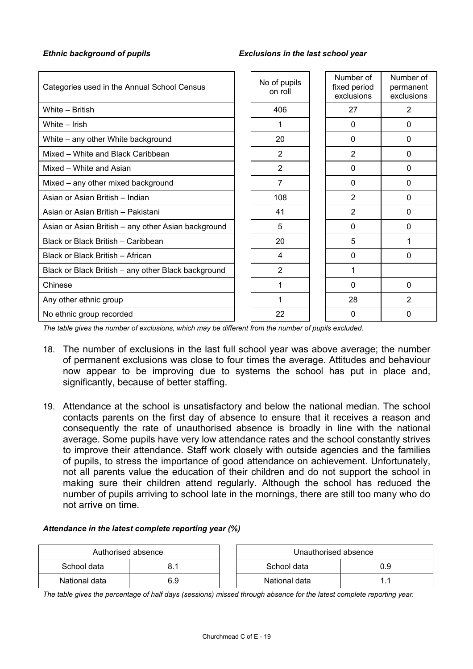#### *Ethnic background of pupils Exclusions in the last school year*

| Categories used in the Annual School Census         | No of pupils<br>on roll | Number of<br>fixed period<br>exclusions | Number of<br>permanent<br>exclusions |
|-----------------------------------------------------|-------------------------|-----------------------------------------|--------------------------------------|
| White - British                                     | 406                     | 27                                      | 2                                    |
| White - Irish                                       |                         | $\Omega$                                | 0                                    |
| White - any other White background                  | 20                      | $\Omega$                                | $\Omega$                             |
| Mixed - White and Black Caribbean                   | $\overline{2}$          | $\overline{2}$                          | 0                                    |
| Mixed - White and Asian                             | $\overline{2}$          | $\Omega$                                | 0                                    |
| Mixed – any other mixed background                  | 7                       | $\Omega$                                | 0                                    |
| Asian or Asian British - Indian                     | 108                     | $\overline{2}$                          | 0                                    |
| Asian or Asian British - Pakistani                  | 41                      | $\overline{2}$                          | 0                                    |
| Asian or Asian British – any other Asian background | 5                       | $\Omega$                                | $\Omega$                             |
| Black or Black British - Caribbean                  | 20                      | 5                                       | 1                                    |
| Black or Black British - African                    | 4                       | $\Omega$                                | 0                                    |
| Black or Black British – any other Black background | $\overline{2}$          | 1                                       |                                      |
| Chinese                                             |                         | 0                                       | $\mathbf{0}$                         |
| Any other ethnic group                              |                         | 28                                      | $\overline{2}$                       |
| No ethnic group recorded                            | 22                      | 0                                       | 0                                    |

*The table gives the number of exclusions, which may be different from the number of pupils excluded.*

- 18. The number of exclusions in the last full school year was above average; the number of permanent exclusions was close to four times the average. Attitudes and behaviour now appear to be improving due to systems the school has put in place and, significantly, because of better staffing.
- 19. Attendance at the school is unsatisfactory and below the national median. The school contacts parents on the first day of absence to ensure that it receives a reason and consequently the rate of unauthorised absence is broadly in line with the national average. Some pupils have very low attendance rates and the school constantly strives to improve their attendance. Staff work closely with outside agencies and the families of pupils, to stress the importance of good attendance on achievement. Unfortunately, not all parents value the education of their children and do not support the school in making sure their children attend regularly. Although the school has reduced the number of pupils arriving to school late in the mornings, there are still too many who do not arrive on time.

#### *Attendance in the latest complete reporting year (%)*

| Authorised absence |     | Unauthorised absence |     |
|--------------------|-----|----------------------|-----|
| School data        |     | School data          | 0.9 |
| National data      | 6.9 | National data        |     |

*The table gives the percentage of half days (sessions) missed through absence for the latest complete reporting year.*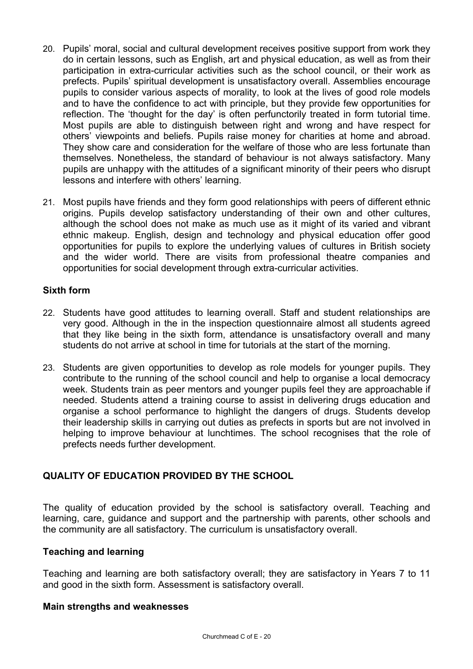- 20. Pupils' moral, social and cultural development receives positive support from work they do in certain lessons, such as English, art and physical education, as well as from their participation in extra-curricular activities such as the school council, or their work as prefects. Pupils' spiritual development is unsatisfactory overall. Assemblies encourage pupils to consider various aspects of morality, to look at the lives of good role models and to have the confidence to act with principle, but they provide few opportunities for reflection. The 'thought for the day' is often perfunctorily treated in form tutorial time. Most pupils are able to distinguish between right and wrong and have respect for others' viewpoints and beliefs. Pupils raise money for charities at home and abroad. They show care and consideration for the welfare of those who are less fortunate than themselves. Nonetheless, the standard of behaviour is not always satisfactory. Many pupils are unhappy with the attitudes of a significant minority of their peers who disrupt lessons and interfere with others' learning.
- 21. Most pupils have friends and they form good relationships with peers of different ethnic origins. Pupils develop satisfactory understanding of their own and other cultures, although the school does not make as much use as it might of its varied and vibrant ethnic makeup. English, design and technology and physical education offer good opportunities for pupils to explore the underlying values of cultures in British society and the wider world. There are visits from professional theatre companies and opportunities for social development through extra-curricular activities.

## **Sixth form**

- 22. Students have good attitudes to learning overall. Staff and student relationships are very good. Although in the in the inspection questionnaire almost all students agreed that they like being in the sixth form, attendance is unsatisfactory overall and many students do not arrive at school in time for tutorials at the start of the morning.
- 23. Students are given opportunities to develop as role models for younger pupils. They contribute to the running of the school council and help to organise a local democracy week. Students train as peer mentors and younger pupils feel they are approachable if needed. Students attend a training course to assist in delivering drugs education and organise a school performance to highlight the dangers of drugs. Students develop their leadership skills in carrying out duties as prefects in sports but are not involved in helping to improve behaviour at lunchtimes. The school recognises that the role of prefects needs further development.

# **QUALITY OF EDUCATION PROVIDED BY THE SCHOOL**

The quality of education provided by the school is satisfactory overall. Teaching and learning, care, guidance and support and the partnership with parents, other schools and the community are all satisfactory. The curriculum is unsatisfactory overall.

## **Teaching and learning**

Teaching and learning are both satisfactory overall; they are satisfactory in Years 7 to 11 and good in the sixth form. Assessment is satisfactory overall.

## **Main strengths and weaknesses**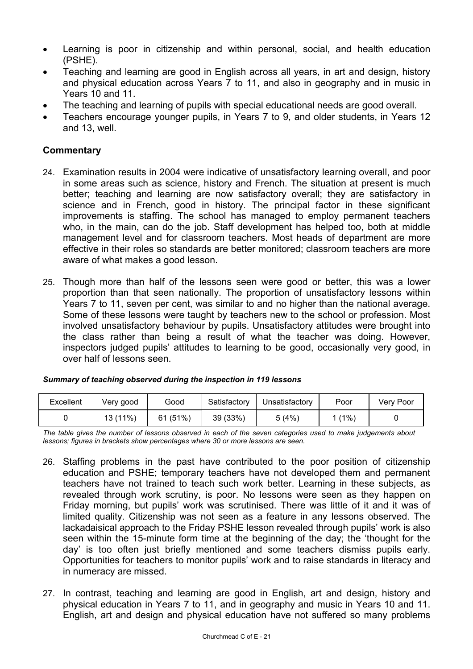- Learning is poor in citizenship and within personal, social, and health education (PSHE).
- Teaching and learning are good in English across all years, in art and design, history and physical education across Years 7 to 11, and also in geography and in music in Years 10 and 11.
- The teaching and learning of pupils with special educational needs are good overall.
- Teachers encourage younger pupils, in Years 7 to 9, and older students, in Years 12 and 13, well.

## **Commentary**

- 24. Examination results in 2004 were indicative of unsatisfactory learning overall, and poor in some areas such as science, history and French. The situation at present is much better; teaching and learning are now satisfactory overall; they are satisfactory in science and in French, good in history. The principal factor in these significant improvements is staffing. The school has managed to employ permanent teachers who, in the main, can do the job. Staff development has helped too, both at middle management level and for classroom teachers. Most heads of department are more effective in their roles so standards are better monitored; classroom teachers are more aware of what makes a good lesson.
- 25. Though more than half of the lessons seen were good or better, this was a lower proportion than that seen nationally. The proportion of unsatisfactory lessons within Years 7 to 11, seven per cent, was similar to and no higher than the national average. Some of these lessons were taught by teachers new to the school or profession. Most involved unsatisfactory behaviour by pupils. Unsatisfactory attitudes were brought into the class rather than being a result of what the teacher was doing. However, inspectors judged pupils' attitudes to learning to be good, occasionally very good, in over half of lessons seen.

| Excellent | Verv good | Good    | Satisfactory | Unsatisfactory | Poor    | Very Poor |
|-----------|-----------|---------|--------------|----------------|---------|-----------|
|           | 13 (11%)  | 61(51%) | 39 (33%)     | 5(4%)          | $(1\%)$ |           |

#### *Summary of teaching observed during the inspection in 119 lessons*

*The table gives the number of lessons observed in each of the seven categories used to make judgements about lessons; figures in brackets show percentages where 30 or more lessons are seen.* 

- 26. Staffing problems in the past have contributed to the poor position of citizenship education and PSHE; temporary teachers have not developed them and permanent teachers have not trained to teach such work better. Learning in these subjects, as revealed through work scrutiny, is poor. No lessons were seen as they happen on Friday morning, but pupils' work was scrutinised. There was little of it and it was of limited quality. Citizenship was not seen as a feature in any lessons observed. The lackadaisical approach to the Friday PSHE lesson revealed through pupils' work is also seen within the 15-minute form time at the beginning of the day; the 'thought for the day' is too often just briefly mentioned and some teachers dismiss pupils early. Opportunities for teachers to monitor pupils' work and to raise standards in literacy and in numeracy are missed.
- 27. In contrast, teaching and learning are good in English, art and design, history and physical education in Years 7 to 11, and in geography and music in Years 10 and 11. English, art and design and physical education have not suffered so many problems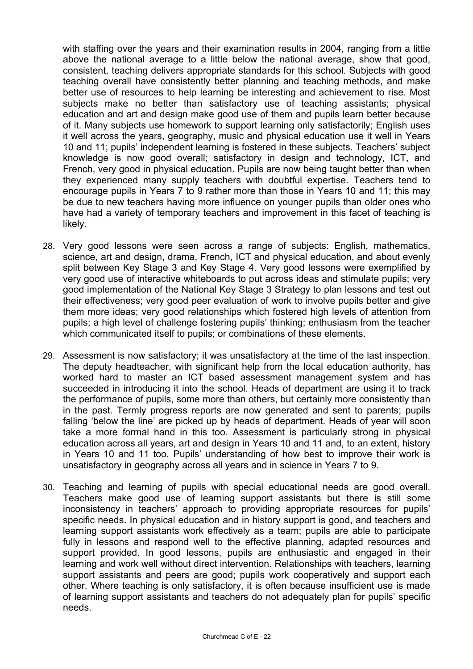with staffing over the years and their examination results in 2004, ranging from a little above the national average to a little below the national average, show that good, consistent, teaching delivers appropriate standards for this school. Subjects with good teaching overall have consistently better planning and teaching methods, and make better use of resources to help learning be interesting and achievement to rise. Most subjects make no better than satisfactory use of teaching assistants; physical education and art and design make good use of them and pupils learn better because of it. Many subjects use homework to support learning only satisfactorily; English uses it well across the years, geography, music and physical education use it well in Years 10 and 11; pupils' independent learning is fostered in these subjects. Teachers' subject knowledge is now good overall; satisfactory in design and technology, ICT, and French, very good in physical education. Pupils are now being taught better than when they experienced many supply teachers with doubtful expertise. Teachers tend to encourage pupils in Years 7 to 9 rather more than those in Years 10 and 11; this may be due to new teachers having more influence on younger pupils than older ones who have had a variety of temporary teachers and improvement in this facet of teaching is likely.

- 28. Very good lessons were seen across a range of subjects: English, mathematics, science, art and design, drama, French, ICT and physical education, and about evenly split between Key Stage 3 and Key Stage 4. Very good lessons were exemplified by very good use of interactive whiteboards to put across ideas and stimulate pupils; very good implementation of the National Key Stage 3 Strategy to plan lessons and test out their effectiveness; very good peer evaluation of work to involve pupils better and give them more ideas; very good relationships which fostered high levels of attention from pupils; a high level of challenge fostering pupils' thinking; enthusiasm from the teacher which communicated itself to pupils; or combinations of these elements.
- 29. Assessment is now satisfactory; it was unsatisfactory at the time of the last inspection. The deputy headteacher, with significant help from the local education authority, has worked hard to master an ICT based assessment management system and has succeeded in introducing it into the school. Heads of department are using it to track the performance of pupils, some more than others, but certainly more consistently than in the past. Termly progress reports are now generated and sent to parents; pupils falling 'below the line' are picked up by heads of department. Heads of year will soon take a more formal hand in this too. Assessment is particularly strong in physical education across all years, art and design in Years 10 and 11 and, to an extent, history in Years 10 and 11 too. Pupils' understanding of how best to improve their work is unsatisfactory in geography across all years and in science in Years 7 to 9.
- 30. Teaching and learning of pupils with special educational needs are good overall. Teachers make good use of learning support assistants but there is still some inconsistency in teachers' approach to providing appropriate resources for pupils' specific needs. In physical education and in history support is good, and teachers and learning support assistants work effectively as a team; pupils are able to participate fully in lessons and respond well to the effective planning, adapted resources and support provided. In good lessons, pupils are enthusiastic and engaged in their learning and work well without direct intervention. Relationships with teachers, learning support assistants and peers are good; pupils work cooperatively and support each other. Where teaching is only satisfactory, it is often because insufficient use is made of learning support assistants and teachers do not adequately plan for pupils' specific needs.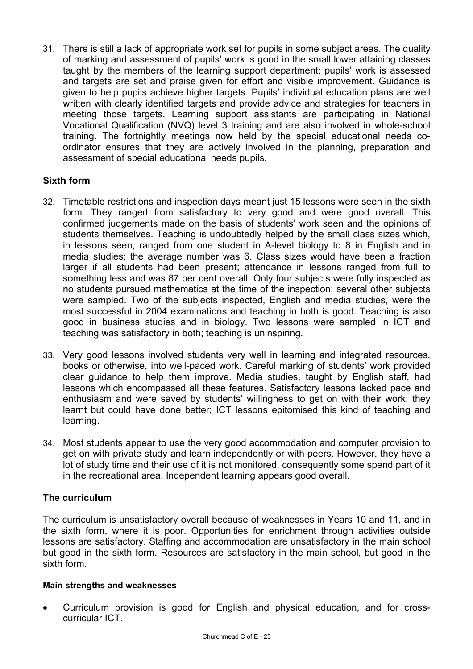31. There is still a lack of appropriate work set for pupils in some subject areas. The quality of marking and assessment of pupils' work is good in the small lower attaining classes taught by the members of the learning support department; pupils' work is assessed and targets are set and praise given for effort and visible improvement. Guidance is given to help pupils achieve higher targets. Pupils' individual education plans are well written with clearly identified targets and provide advice and strategies for teachers in meeting those targets. Learning support assistants are participating in National Vocational Qualification (NVQ) level 3 training and are also involved in whole-school training. The fortnightly meetings now held by the special educational needs coordinator ensures that they are actively involved in the planning, preparation and assessment of special educational needs pupils.

# **Sixth form**

- 32. Timetable restrictions and inspection days meant just 15 lessons were seen in the sixth form. They ranged from satisfactory to very good and were good overall. This confirmed judgements made on the basis of students' work seen and the opinions of students themselves. Teaching is undoubtedly helped by the small class sizes which, in lessons seen, ranged from one student in A-level biology to 8 in English and in media studies; the average number was 6. Class sizes would have been a fraction larger if all students had been present; attendance in lessons ranged from full to something less and was 87 per cent overall. Only four subjects were fully inspected as no students pursued mathematics at the time of the inspection; several other subjects were sampled. Two of the subjects inspected, English and media studies, were the most successful in 2004 examinations and teaching in both is good. Teaching is also good in business studies and in biology. Two lessons were sampled in ICT and teaching was satisfactory in both; teaching is uninspiring.
- 33. Very good lessons involved students very well in learning and integrated resources, books or otherwise, into well-paced work. Careful marking of students' work provided clear guidance to help them improve. Media studies, taught by English staff, had lessons which encompassed all these features. Satisfactory lessons lacked pace and enthusiasm and were saved by students' willingness to get on with their work; they learnt but could have done better; ICT lessons epitomised this kind of teaching and learning.
- 34. Most students appear to use the very good accommodation and computer provision to get on with private study and learn independently or with peers. However, they have a lot of study time and their use of it is not monitored, consequently some spend part of it in the recreational area. Independent learning appears good overall.

# **The curriculum**

The curriculum is unsatisfactory overall because of weaknesses in Years 10 and 11, and in the sixth form, where it is poor. Opportunities for enrichment through activities outside lessons are satisfactory. Staffing and accommodation are unsatisfactory in the main school but good in the sixth form. Resources are satisfactory in the main school, but good in the sixth form.

## **Main strengths and weaknesses**

• Curriculum provision is good for English and physical education, and for crosscurricular ICT.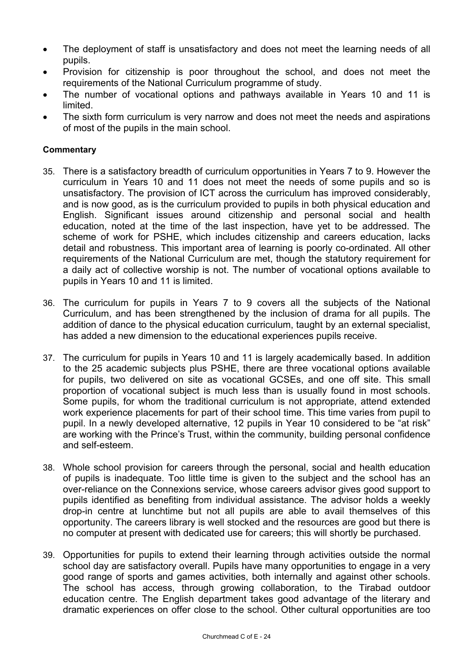- The deployment of staff is unsatisfactory and does not meet the learning needs of all pupils.
- Provision for citizenship is poor throughout the school, and does not meet the requirements of the National Curriculum programme of study.
- The number of vocational options and pathways available in Years 10 and 11 is limited.
- The sixth form curriculum is very narrow and does not meet the needs and aspirations of most of the pupils in the main school.

- 35. There is a satisfactory breadth of curriculum opportunities in Years 7 to 9. However the curriculum in Years 10 and 11 does not meet the needs of some pupils and so is unsatisfactory. The provision of ICT across the curriculum has improved considerably, and is now good, as is the curriculum provided to pupils in both physical education and English. Significant issues around citizenship and personal social and health education, noted at the time of the last inspection, have yet to be addressed. The scheme of work for PSHE, which includes citizenship and careers education, lacks detail and robustness. This important area of learning is poorly co-ordinated. All other requirements of the National Curriculum are met, though the statutory requirement for a daily act of collective worship is not. The number of vocational options available to pupils in Years 10 and 11 is limited.
- 36. The curriculum for pupils in Years 7 to 9 covers all the subjects of the National Curriculum, and has been strengthened by the inclusion of drama for all pupils. The addition of dance to the physical education curriculum, taught by an external specialist, has added a new dimension to the educational experiences pupils receive.
- 37. The curriculum for pupils in Years 10 and 11 is largely academically based. In addition to the 25 academic subjects plus PSHE, there are three vocational options available for pupils, two delivered on site as vocational GCSEs, and one off site. This small proportion of vocational subject is much less than is usually found in most schools. Some pupils, for whom the traditional curriculum is not appropriate, attend extended work experience placements for part of their school time. This time varies from pupil to pupil. In a newly developed alternative, 12 pupils in Year 10 considered to be "at risk" are working with the Prince's Trust, within the community, building personal confidence and self-esteem.
- 38. Whole school provision for careers through the personal, social and health education of pupils is inadequate. Too little time is given to the subject and the school has an over-reliance on the Connexions service, whose careers advisor gives good support to pupils identified as benefiting from individual assistance. The advisor holds a weekly drop-in centre at lunchtime but not all pupils are able to avail themselves of this opportunity. The careers library is well stocked and the resources are good but there is no computer at present with dedicated use for careers; this will shortly be purchased.
- 39. Opportunities for pupils to extend their learning through activities outside the normal school day are satisfactory overall. Pupils have many opportunities to engage in a very good range of sports and games activities, both internally and against other schools. The school has access, through growing collaboration, to the Tirabad outdoor education centre. The English department takes good advantage of the literary and dramatic experiences on offer close to the school. Other cultural opportunities are too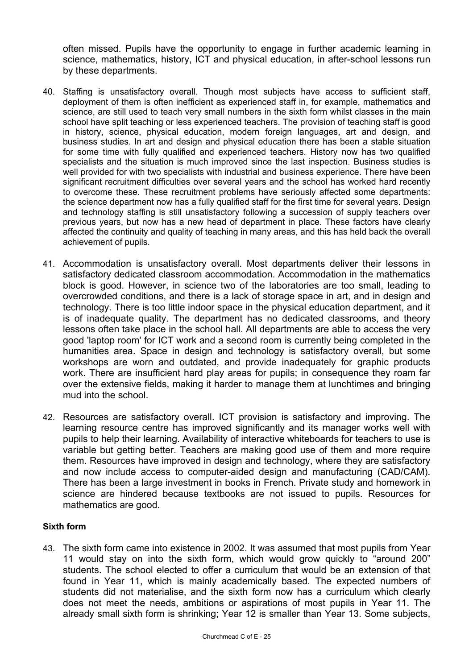often missed. Pupils have the opportunity to engage in further academic learning in science, mathematics, history, ICT and physical education, in after-school lessons run by these departments.

- 40. Staffing is unsatisfactory overall. Though most subjects have access to sufficient staff, deployment of them is often inefficient as experienced staff in, for example, mathematics and science, are still used to teach very small numbers in the sixth form whilst classes in the main school have split teaching or less experienced teachers. The provision of teaching staff is good in history, science, physical education, modern foreign languages, art and design, and business studies. In art and design and physical education there has been a stable situation for some time with fully qualified and experienced teachers. History now has two qualified specialists and the situation is much improved since the last inspection. Business studies is well provided for with two specialists with industrial and business experience. There have been significant recruitment difficulties over several years and the school has worked hard recently to overcome these. These recruitment problems have seriously affected some departments: the science department now has a fully qualified staff for the first time for several years. Design and technology staffing is still unsatisfactory following a succession of supply teachers over previous years, but now has a new head of department in place. These factors have clearly affected the continuity and quality of teaching in many areas, and this has held back the overall achievement of pupils.
- 41. Accommodation is unsatisfactory overall. Most departments deliver their lessons in satisfactory dedicated classroom accommodation. Accommodation in the mathematics block is good. However, in science two of the laboratories are too small, leading to overcrowded conditions, and there is a lack of storage space in art, and in design and technology. There is too little indoor space in the physical education department, and it is of inadequate quality. The department has no dedicated classrooms, and theory lessons often take place in the school hall. All departments are able to access the very good 'laptop room' for ICT work and a second room is currently being completed in the humanities area. Space in design and technology is satisfactory overall, but some workshops are worn and outdated, and provide inadequately for graphic products work. There are insufficient hard play areas for pupils; in consequence they roam far over the extensive fields, making it harder to manage them at lunchtimes and bringing mud into the school.
- 42. Resources are satisfactory overall. ICT provision is satisfactory and improving. The learning resource centre has improved significantly and its manager works well with pupils to help their learning. Availability of interactive whiteboards for teachers to use is variable but getting better. Teachers are making good use of them and more require them. Resources have improved in design and technology, where they are satisfactory and now include access to computer-aided design and manufacturing (CAD/CAM). There has been a large investment in books in French. Private study and homework in science are hindered because textbooks are not issued to pupils. Resources for mathematics are good.

#### **Sixth form**

43. The sixth form came into existence in 2002. It was assumed that most pupils from Year 11 would stay on into the sixth form, which would grow quickly to "around 200" students. The school elected to offer a curriculum that would be an extension of that found in Year 11, which is mainly academically based. The expected numbers of students did not materialise, and the sixth form now has a curriculum which clearly does not meet the needs, ambitions or aspirations of most pupils in Year 11. The already small sixth form is shrinking; Year 12 is smaller than Year 13. Some subjects,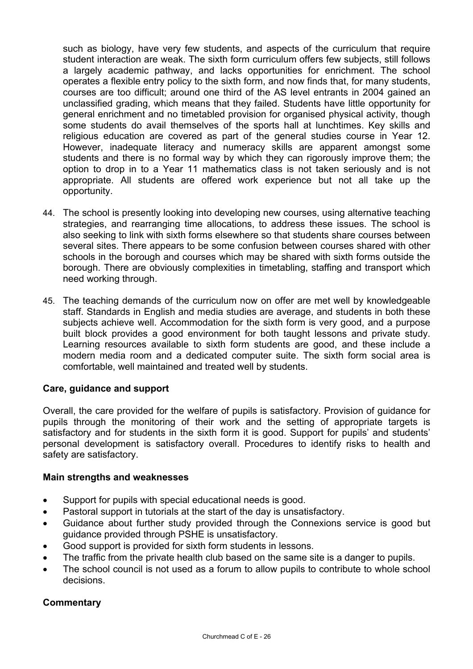such as biology, have very few students, and aspects of the curriculum that require student interaction are weak. The sixth form curriculum offers few subjects, still follows a largely academic pathway, and lacks opportunities for enrichment. The school operates a flexible entry policy to the sixth form, and now finds that, for many students, courses are too difficult; around one third of the AS level entrants in 2004 gained an unclassified grading, which means that they failed. Students have little opportunity for general enrichment and no timetabled provision for organised physical activity, though some students do avail themselves of the sports hall at lunchtimes. Key skills and religious education are covered as part of the general studies course in Year 12. However, inadequate literacy and numeracy skills are apparent amongst some students and there is no formal way by which they can rigorously improve them; the option to drop in to a Year 11 mathematics class is not taken seriously and is not appropriate. All students are offered work experience but not all take up the opportunity.

- 44. The school is presently looking into developing new courses, using alternative teaching strategies, and rearranging time allocations, to address these issues. The school is also seeking to link with sixth forms elsewhere so that students share courses between several sites. There appears to be some confusion between courses shared with other schools in the borough and courses which may be shared with sixth forms outside the borough. There are obviously complexities in timetabling, staffing and transport which need working through.
- 45. The teaching demands of the curriculum now on offer are met well by knowledgeable staff. Standards in English and media studies are average, and students in both these subjects achieve well. Accommodation for the sixth form is very good, and a purpose built block provides a good environment for both taught lessons and private study. Learning resources available to sixth form students are good, and these include a modern media room and a dedicated computer suite. The sixth form social area is comfortable, well maintained and treated well by students.

## **Care, guidance and support**

Overall, the care provided for the welfare of pupils is satisfactory. Provision of guidance for pupils through the monitoring of their work and the setting of appropriate targets is satisfactory and for students in the sixth form it is good. Support for pupils' and students' personal development is satisfactory overall. Procedures to identify risks to health and safety are satisfactory.

## **Main strengths and weaknesses**

- Support for pupils with special educational needs is good.
- Pastoral support in tutorials at the start of the day is unsatisfactory.
- Guidance about further study provided through the Connexions service is good but guidance provided through PSHE is unsatisfactory.
- Good support is provided for sixth form students in lessons.
- The traffic from the private health club based on the same site is a danger to pupils.
- The school council is not used as a forum to allow pupils to contribute to whole school decisions.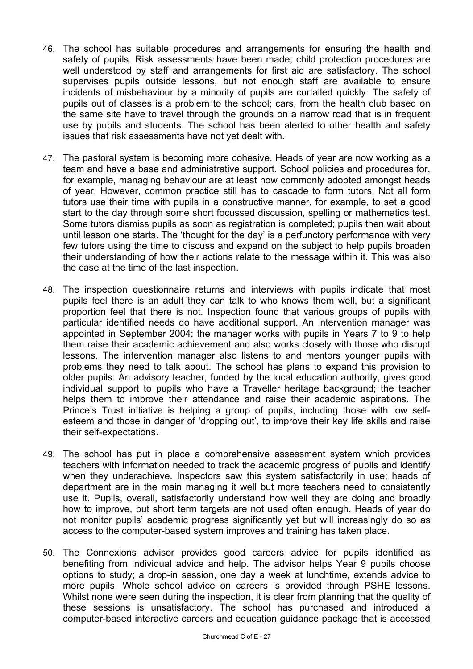- 46. The school has suitable procedures and arrangements for ensuring the health and safety of pupils. Risk assessments have been made; child protection procedures are well understood by staff and arrangements for first aid are satisfactory. The school supervises pupils outside lessons, but not enough staff are available to ensure incidents of misbehaviour by a minority of pupils are curtailed quickly. The safety of pupils out of classes is a problem to the school; cars, from the health club based on the same site have to travel through the grounds on a narrow road that is in frequent use by pupils and students. The school has been alerted to other health and safety issues that risk assessments have not yet dealt with.
- 47. The pastoral system is becoming more cohesive. Heads of year are now working as a team and have a base and administrative support. School policies and procedures for, for example, managing behaviour are at least now commonly adopted amongst heads of year. However, common practice still has to cascade to form tutors. Not all form tutors use their time with pupils in a constructive manner, for example, to set a good start to the day through some short focussed discussion, spelling or mathematics test. Some tutors dismiss pupils as soon as registration is completed; pupils then wait about until lesson one starts. The 'thought for the day' is a perfunctory performance with very few tutors using the time to discuss and expand on the subject to help pupils broaden their understanding of how their actions relate to the message within it. This was also the case at the time of the last inspection.
- 48. The inspection questionnaire returns and interviews with pupils indicate that most pupils feel there is an adult they can talk to who knows them well, but a significant proportion feel that there is not. Inspection found that various groups of pupils with particular identified needs do have additional support. An intervention manager was appointed in September 2004; the manager works with pupils in Years 7 to 9 to help them raise their academic achievement and also works closely with those who disrupt lessons. The intervention manager also listens to and mentors younger pupils with problems they need to talk about. The school has plans to expand this provision to older pupils. An advisory teacher, funded by the local education authority, gives good individual support to pupils who have a Traveller heritage background; the teacher helps them to improve their attendance and raise their academic aspirations. The Prince's Trust initiative is helping a group of pupils, including those with low selfesteem and those in danger of 'dropping out', to improve their key life skills and raise their self-expectations.
- 49. The school has put in place a comprehensive assessment system which provides teachers with information needed to track the academic progress of pupils and identify when they underachieve. Inspectors saw this system satisfactorily in use; heads of department are in the main managing it well but more teachers need to consistently use it. Pupils, overall, satisfactorily understand how well they are doing and broadly how to improve, but short term targets are not used often enough. Heads of year do not monitor pupils' academic progress significantly yet but will increasingly do so as access to the computer-based system improves and training has taken place.
- 50. The Connexions advisor provides good careers advice for pupils identified as benefiting from individual advice and help. The advisor helps Year 9 pupils choose options to study; a drop-in session, one day a week at lunchtime, extends advice to more pupils. Whole school advice on careers is provided through PSHE lessons. Whilst none were seen during the inspection, it is clear from planning that the quality of these sessions is unsatisfactory. The school has purchased and introduced a computer-based interactive careers and education guidance package that is accessed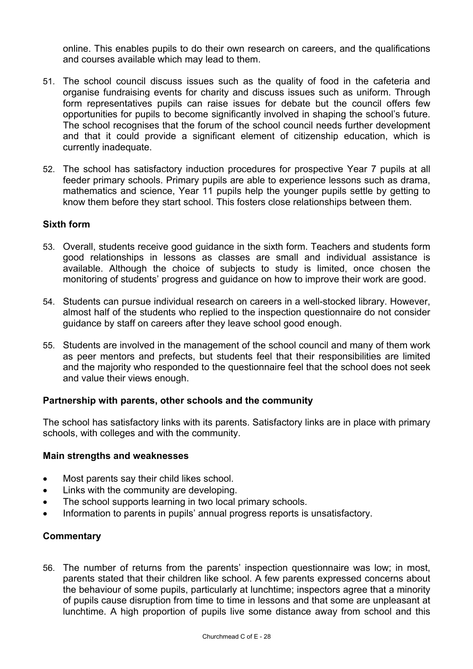online. This enables pupils to do their own research on careers, and the qualifications and courses available which may lead to them.

- 51. The school council discuss issues such as the quality of food in the cafeteria and organise fundraising events for charity and discuss issues such as uniform. Through form representatives pupils can raise issues for debate but the council offers few opportunities for pupils to become significantly involved in shaping the school's future. The school recognises that the forum of the school council needs further development and that it could provide a significant element of citizenship education, which is currently inadequate.
- 52. The school has satisfactory induction procedures for prospective Year 7 pupils at all feeder primary schools. Primary pupils are able to experience lessons such as drama, mathematics and science, Year 11 pupils help the younger pupils settle by getting to know them before they start school. This fosters close relationships between them.

## **Sixth form**

- 53. Overall, students receive good guidance in the sixth form. Teachers and students form good relationships in lessons as classes are small and individual assistance is available. Although the choice of subjects to study is limited, once chosen the monitoring of students' progress and guidance on how to improve their work are good.
- 54. Students can pursue individual research on careers in a well-stocked library. However, almost half of the students who replied to the inspection questionnaire do not consider guidance by staff on careers after they leave school good enough.
- 55. Students are involved in the management of the school council and many of them work as peer mentors and prefects, but students feel that their responsibilities are limited and the majority who responded to the questionnaire feel that the school does not seek and value their views enough.

## **Partnership with parents, other schools and the community**

The school has satisfactory links with its parents. Satisfactory links are in place with primary schools, with colleges and with the community.

#### **Main strengths and weaknesses**

- Most parents say their child likes school.
- Links with the community are developing.
- The school supports learning in two local primary schools.
- Information to parents in pupils' annual progress reports is unsatisfactory.

## **Commentary**

56. The number of returns from the parents' inspection questionnaire was low; in most, parents stated that their children like school. A few parents expressed concerns about the behaviour of some pupils, particularly at lunchtime; inspectors agree that a minority of pupils cause disruption from time to time in lessons and that some are unpleasant at lunchtime. A high proportion of pupils live some distance away from school and this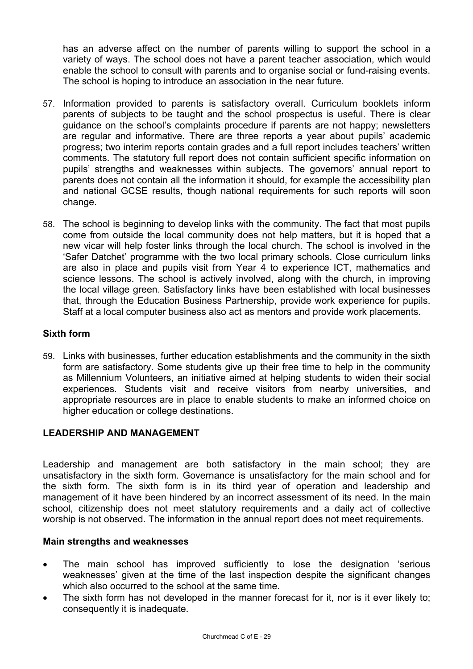has an adverse affect on the number of parents willing to support the school in a variety of ways. The school does not have a parent teacher association, which would enable the school to consult with parents and to organise social or fund-raising events. The school is hoping to introduce an association in the near future.

- 57. Information provided to parents is satisfactory overall. Curriculum booklets inform parents of subjects to be taught and the school prospectus is useful. There is clear guidance on the school's complaints procedure if parents are not happy; newsletters are regular and informative. There are three reports a year about pupils' academic progress; two interim reports contain grades and a full report includes teachers' written comments. The statutory full report does not contain sufficient specific information on pupils' strengths and weaknesses within subjects. The governors' annual report to parents does not contain all the information it should, for example the accessibility plan and national GCSE results, though national requirements for such reports will soon change.
- 58. The school is beginning to develop links with the community. The fact that most pupils come from outside the local community does not help matters, but it is hoped that a new vicar will help foster links through the local church. The school is involved in the 'Safer Datchet' programme with the two local primary schools. Close curriculum links are also in place and pupils visit from Year 4 to experience ICT, mathematics and science lessons. The school is actively involved, along with the church, in improving the local village green. Satisfactory links have been established with local businesses that, through the Education Business Partnership, provide work experience for pupils. Staff at a local computer business also act as mentors and provide work placements.

## **Sixth form**

59. Links with businesses, further education establishments and the community in the sixth form are satisfactory. Some students give up their free time to help in the community as Millennium Volunteers, an initiative aimed at helping students to widen their social experiences. Students visit and receive visitors from nearby universities, and appropriate resources are in place to enable students to make an informed choice on higher education or college destinations.

# **LEADERSHIP AND MANAGEMENT**

Leadership and management are both satisfactory in the main school; they are unsatisfactory in the sixth form. Governance is unsatisfactory for the main school and for the sixth form. The sixth form is in its third year of operation and leadership and management of it have been hindered by an incorrect assessment of its need. In the main school, citizenship does not meet statutory requirements and a daily act of collective worship is not observed. The information in the annual report does not meet requirements.

## **Main strengths and weaknesses**

- The main school has improved sufficiently to lose the designation 'serious weaknesses' given at the time of the last inspection despite the significant changes which also occurred to the school at the same time.
- The sixth form has not developed in the manner forecast for it, nor is it ever likely to; consequently it is inadequate.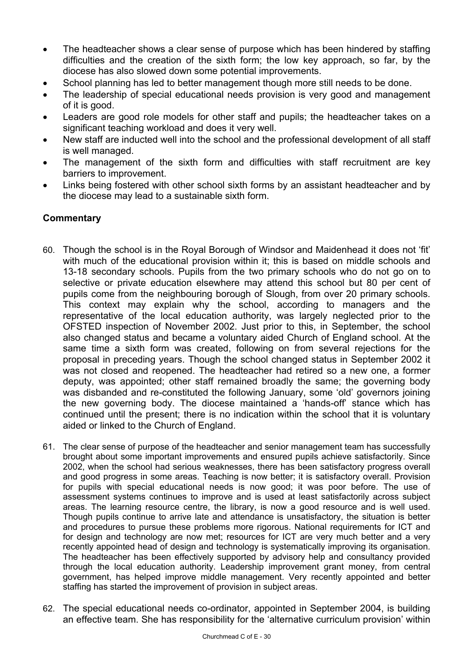- The headteacher shows a clear sense of purpose which has been hindered by staffing difficulties and the creation of the sixth form; the low key approach, so far, by the diocese has also slowed down some potential improvements.
- School planning has led to better management though more still needs to be done.
- The leadership of special educational needs provision is very good and management of it is good.
- Leaders are good role models for other staff and pupils; the headteacher takes on a significant teaching workload and does it very well.
- New staff are inducted well into the school and the professional development of all staff is well managed.
- The management of the sixth form and difficulties with staff recruitment are key barriers to improvement.
- Links being fostered with other school sixth forms by an assistant headteacher and by the diocese may lead to a sustainable sixth form.

- 60. Though the school is in the Royal Borough of Windsor and Maidenhead it does not 'fit' with much of the educational provision within it; this is based on middle schools and 13-18 secondary schools. Pupils from the two primary schools who do not go on to selective or private education elsewhere may attend this school but 80 per cent of pupils come from the neighbouring borough of Slough, from over 20 primary schools. This context may explain why the school, according to managers and the representative of the local education authority, was largely neglected prior to the OFSTED inspection of November 2002. Just prior to this, in September, the school also changed status and became a voluntary aided Church of England school. At the same time a sixth form was created, following on from several rejections for the proposal in preceding years. Though the school changed status in September 2002 it was not closed and reopened. The headteacher had retired so a new one, a former deputy, was appointed; other staff remained broadly the same; the governing body was disbanded and re-constituted the following January, some 'old' governors joining the new governing body. The diocese maintained a 'hands-off' stance which has continued until the present; there is no indication within the school that it is voluntary aided or linked to the Church of England.
- 61. The clear sense of purpose of the headteacher and senior management team has successfully brought about some important improvements and ensured pupils achieve satisfactorily. Since 2002, when the school had serious weaknesses, there has been satisfactory progress overall and good progress in some areas. Teaching is now better; it is satisfactory overall. Provision for pupils with special educational needs is now good; it was poor before. The use of assessment systems continues to improve and is used at least satisfactorily across subject areas. The learning resource centre, the library, is now a good resource and is well used. Though pupils continue to arrive late and attendance is unsatisfactory, the situation is better and procedures to pursue these problems more rigorous. National requirements for ICT and for design and technology are now met; resources for ICT are very much better and a very recently appointed head of design and technology is systematically improving its organisation. The headteacher has been effectively supported by advisory help and consultancy provided through the local education authority. Leadership improvement grant money, from central government, has helped improve middle management. Very recently appointed and better staffing has started the improvement of provision in subject areas.
- 62. The special educational needs co-ordinator, appointed in September 2004, is building an effective team. She has responsibility for the 'alternative curriculum provision' within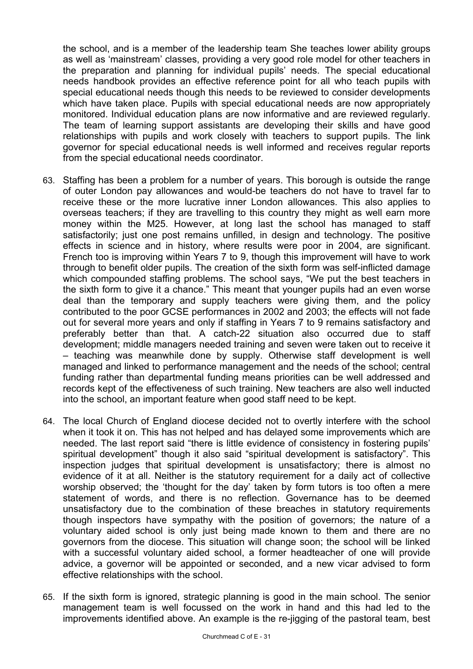the school, and is a member of the leadership team She teaches lower ability groups as well as 'mainstream' classes, providing a very good role model for other teachers in the preparation and planning for individual pupils' needs. The special educational needs handbook provides an effective reference point for all who teach pupils with special educational needs though this needs to be reviewed to consider developments which have taken place. Pupils with special educational needs are now appropriately monitored. Individual education plans are now informative and are reviewed regularly. The team of learning support assistants are developing their skills and have good relationships with pupils and work closely with teachers to support pupils. The link governor for special educational needs is well informed and receives regular reports from the special educational needs coordinator.

- 63. Staffing has been a problem for a number of years. This borough is outside the range of outer London pay allowances and would-be teachers do not have to travel far to receive these or the more lucrative inner London allowances. This also applies to overseas teachers; if they are travelling to this country they might as well earn more money within the M25. However, at long last the school has managed to staff satisfactorily; just one post remains unfilled, in design and technology. The positive effects in science and in history, where results were poor in 2004, are significant. French too is improving within Years 7 to 9, though this improvement will have to work through to benefit older pupils. The creation of the sixth form was self-inflicted damage which compounded staffing problems. The school says, "We put the best teachers in the sixth form to give it a chance." This meant that younger pupils had an even worse deal than the temporary and supply teachers were giving them, and the policy contributed to the poor GCSE performances in 2002 and 2003; the effects will not fade out for several more years and only if staffing in Years 7 to 9 remains satisfactory and preferably better than that. A catch-22 situation also occurred due to staff development; middle managers needed training and seven were taken out to receive it – teaching was meanwhile done by supply. Otherwise staff development is well managed and linked to performance management and the needs of the school; central funding rather than departmental funding means priorities can be well addressed and records kept of the effectiveness of such training. New teachers are also well inducted into the school, an important feature when good staff need to be kept.
- 64. The local Church of England diocese decided not to overtly interfere with the school when it took it on. This has not helped and has delayed some improvements which are needed. The last report said "there is little evidence of consistency in fostering pupils' spiritual development" though it also said "spiritual development is satisfactory". This inspection judges that spiritual development is unsatisfactory; there is almost no evidence of it at all. Neither is the statutory requirement for a daily act of collective worship observed; the 'thought for the day' taken by form tutors is too often a mere statement of words, and there is no reflection. Governance has to be deemed unsatisfactory due to the combination of these breaches in statutory requirements though inspectors have sympathy with the position of governors; the nature of a voluntary aided school is only just being made known to them and there are no governors from the diocese. This situation will change soon; the school will be linked with a successful voluntary aided school, a former headteacher of one will provide advice, a governor will be appointed or seconded, and a new vicar advised to form effective relationships with the school.
- 65. If the sixth form is ignored, strategic planning is good in the main school. The senior management team is well focussed on the work in hand and this had led to the improvements identified above. An example is the re-jigging of the pastoral team, best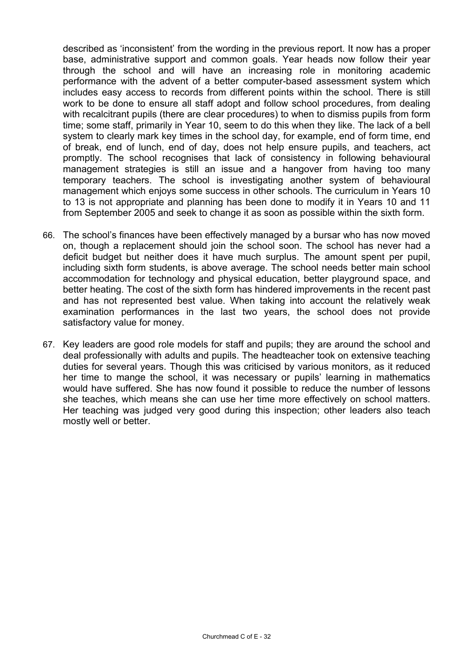described as 'inconsistent' from the wording in the previous report. It now has a proper base, administrative support and common goals. Year heads now follow their year through the school and will have an increasing role in monitoring academic performance with the advent of a better computer-based assessment system which includes easy access to records from different points within the school. There is still work to be done to ensure all staff adopt and follow school procedures, from dealing with recalcitrant pupils (there are clear procedures) to when to dismiss pupils from form time; some staff, primarily in Year 10, seem to do this when they like. The lack of a bell system to clearly mark key times in the school day, for example, end of form time, end of break, end of lunch, end of day, does not help ensure pupils, and teachers, act promptly. The school recognises that lack of consistency in following behavioural management strategies is still an issue and a hangover from having too many temporary teachers. The school is investigating another system of behavioural management which enjoys some success in other schools. The curriculum in Years 10 to 13 is not appropriate and planning has been done to modify it in Years 10 and 11 from September 2005 and seek to change it as soon as possible within the sixth form.

- 66. The school's finances have been effectively managed by a bursar who has now moved on, though a replacement should join the school soon. The school has never had a deficit budget but neither does it have much surplus. The amount spent per pupil, including sixth form students, is above average. The school needs better main school accommodation for technology and physical education, better playground space, and better heating. The cost of the sixth form has hindered improvements in the recent past and has not represented best value. When taking into account the relatively weak examination performances in the last two years, the school does not provide satisfactory value for money.
- 67. Key leaders are good role models for staff and pupils; they are around the school and deal professionally with adults and pupils. The headteacher took on extensive teaching duties for several years. Though this was criticised by various monitors, as it reduced her time to mange the school, it was necessary or pupils' learning in mathematics would have suffered. She has now found it possible to reduce the number of lessons she teaches, which means she can use her time more effectively on school matters. Her teaching was judged very good during this inspection; other leaders also teach mostly well or better.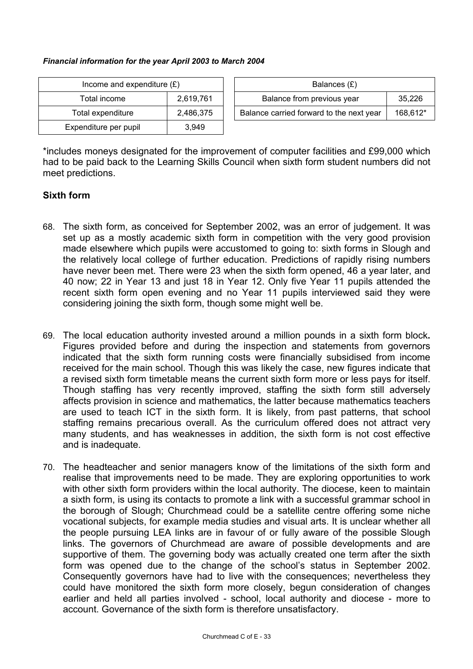#### *Financial information for the year April 2003 to March 2004*

| Income and expenditure $(E)$ |           |  | Balances $(E)$                     |
|------------------------------|-----------|--|------------------------------------|
| Total income                 | 2,619,761 |  | Balance from previous year         |
| Total expenditure            | 2,486,375 |  | Balance carried forward to the nex |
| Expenditure per pupil        | 3.949     |  |                                    |

| Income and expenditure $(E)$ |           | Balances (£)                             |          |
|------------------------------|-----------|------------------------------------------|----------|
| Total income                 | 2,619,761 | Balance from previous year               | 35.226   |
| Total expenditure            | 2.486.375 | Balance carried forward to the next year | 168,612* |

\*includes moneys designated for the improvement of computer facilities and £99,000 which had to be paid back to the Learning Skills Council when sixth form student numbers did not meet predictions.

# **Sixth form**

- 68. The sixth form, as conceived for September 2002, was an error of judgement. It was set up as a mostly academic sixth form in competition with the very good provision made elsewhere which pupils were accustomed to going to: sixth forms in Slough and the relatively local college of further education. Predictions of rapidly rising numbers have never been met. There were 23 when the sixth form opened, 46 a year later, and 40 now; 22 in Year 13 and just 18 in Year 12. Only five Year 11 pupils attended the recent sixth form open evening and no Year 11 pupils interviewed said they were considering joining the sixth form, though some might well be.
- 69. The local education authority invested around a million pounds in a sixth form block**.**  Figures provided before and during the inspection and statements from governors indicated that the sixth form running costs were financially subsidised from income received for the main school. Though this was likely the case, new figures indicate that a revised sixth form timetable means the current sixth form more or less pays for itself. Though staffing has very recently improved, staffing the sixth form still adversely affects provision in science and mathematics, the latter because mathematics teachers are used to teach ICT in the sixth form. It is likely, from past patterns, that school staffing remains precarious overall. As the curriculum offered does not attract very many students, and has weaknesses in addition, the sixth form is not cost effective and is inadequate.
- 70. The headteacher and senior managers know of the limitations of the sixth form and realise that improvements need to be made. They are exploring opportunities to work with other sixth form providers within the local authority. The diocese, keen to maintain a sixth form, is using its contacts to promote a link with a successful grammar school in the borough of Slough; Churchmead could be a satellite centre offering some niche vocational subjects, for example media studies and visual arts. It is unclear whether all the people pursuing LEA links are in favour of or fully aware of the possible Slough links. The governors of Churchmead are aware of possible developments and are supportive of them. The governing body was actually created one term after the sixth form was opened due to the change of the school's status in September 2002. Consequently governors have had to live with the consequences; nevertheless they could have monitored the sixth form more closely, begun consideration of changes earlier and held all parties involved - school, local authority and diocese - more to account. Governance of the sixth form is therefore unsatisfactory.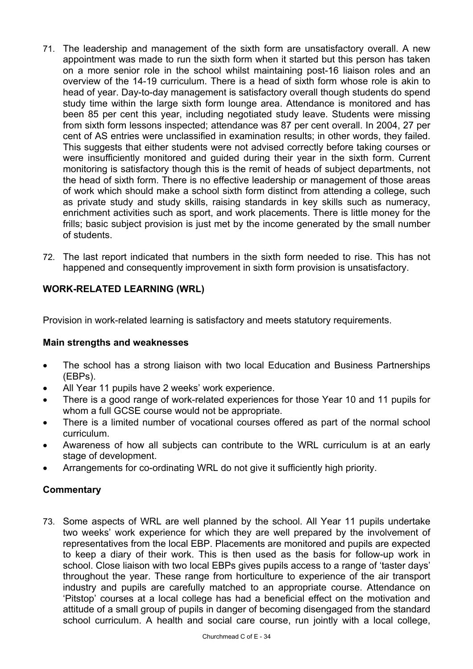- 71. The leadership and management of the sixth form are unsatisfactory overall. A new appointment was made to run the sixth form when it started but this person has taken on a more senior role in the school whilst maintaining post-16 liaison roles and an overview of the 14-19 curriculum. There is a head of sixth form whose role is akin to head of year. Day-to-day management is satisfactory overall though students do spend study time within the large sixth form lounge area. Attendance is monitored and has been 85 per cent this year, including negotiated study leave. Students were missing from sixth form lessons inspected; attendance was 87 per cent overall. In 2004, 27 per cent of AS entries were unclassified in examination results; in other words, they failed. This suggests that either students were not advised correctly before taking courses or were insufficiently monitored and guided during their year in the sixth form. Current monitoring is satisfactory though this is the remit of heads of subject departments, not the head of sixth form. There is no effective leadership or management of those areas of work which should make a school sixth form distinct from attending a college, such as private study and study skills, raising standards in key skills such as numeracy, enrichment activities such as sport, and work placements. There is little money for the frills; basic subject provision is just met by the income generated by the small number of students.
- 72. The last report indicated that numbers in the sixth form needed to rise. This has not happened and consequently improvement in sixth form provision is unsatisfactory.

# **WORK-RELATED LEARNING (WRL)**

Provision in work-related learning is satisfactory and meets statutory requirements.

## **Main strengths and weaknesses**

- The school has a strong liaison with two local Education and Business Partnerships (EBPs).
- All Year 11 pupils have 2 weeks' work experience.
- There is a good range of work-related experiences for those Year 10 and 11 pupils for whom a full GCSE course would not be appropriate.
- There is a limited number of vocational courses offered as part of the normal school curriculum.
- Awareness of how all subjects can contribute to the WRL curriculum is at an early stage of development.
- Arrangements for co-ordinating WRL do not give it sufficiently high priority.

## **Commentary**

73. Some aspects of WRL are well planned by the school. All Year 11 pupils undertake two weeks' work experience for which they are well prepared by the involvement of representatives from the local EBP. Placements are monitored and pupils are expected to keep a diary of their work. This is then used as the basis for follow-up work in school. Close liaison with two local EBPs gives pupils access to a range of 'taster days' throughout the year. These range from horticulture to experience of the air transport industry and pupils are carefully matched to an appropriate course. Attendance on 'Pitstop' courses at a local college has had a beneficial effect on the motivation and attitude of a small group of pupils in danger of becoming disengaged from the standard school curriculum. A health and social care course, run jointly with a local college,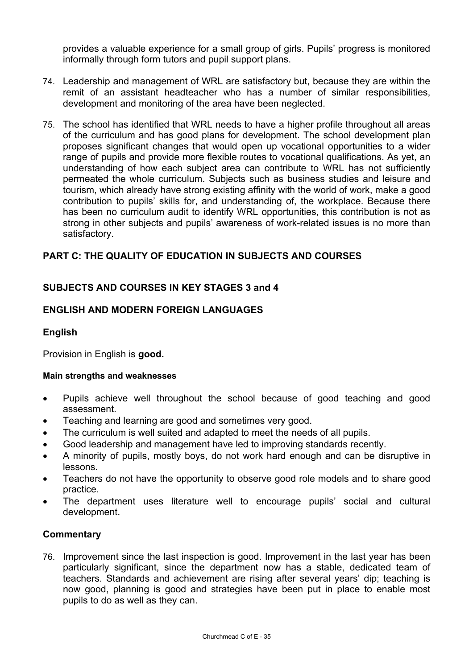provides a valuable experience for a small group of girls. Pupils' progress is monitored informally through form tutors and pupil support plans.

- 74. Leadership and management of WRL are satisfactory but, because they are within the remit of an assistant headteacher who has a number of similar responsibilities, development and monitoring of the area have been neglected.
- 75. The school has identified that WRL needs to have a higher profile throughout all areas of the curriculum and has good plans for development. The school development plan proposes significant changes that would open up vocational opportunities to a wider range of pupils and provide more flexible routes to vocational qualifications. As yet, an understanding of how each subject area can contribute to WRL has not sufficiently permeated the whole curriculum. Subjects such as business studies and leisure and tourism, which already have strong existing affinity with the world of work, make a good contribution to pupils' skills for, and understanding of, the workplace. Because there has been no curriculum audit to identify WRL opportunities, this contribution is not as strong in other subjects and pupils' awareness of work-related issues is no more than satisfactory.

# **PART C: THE QUALITY OF EDUCATION IN SUBJECTS AND COURSES**

# **SUBJECTS AND COURSES IN KEY STAGES 3 and 4**

# **ENGLISH AND MODERN FOREIGN LANGUAGES**

## **English**

Provision in English is **good.**

#### **Main strengths and weaknesses**

- Pupils achieve well throughout the school because of good teaching and good assessment.
- Teaching and learning are good and sometimes very good.
- The curriculum is well suited and adapted to meet the needs of all pupils.
- Good leadership and management have led to improving standards recently.
- A minority of pupils, mostly boys, do not work hard enough and can be disruptive in lessons.
- Teachers do not have the opportunity to observe good role models and to share good practice.
- The department uses literature well to encourage pupils' social and cultural development.

#### **Commentary**

76. Improvement since the last inspection is good. Improvement in the last year has been particularly significant, since the department now has a stable, dedicated team of teachers. Standards and achievement are rising after several years' dip; teaching is now good, planning is good and strategies have been put in place to enable most pupils to do as well as they can.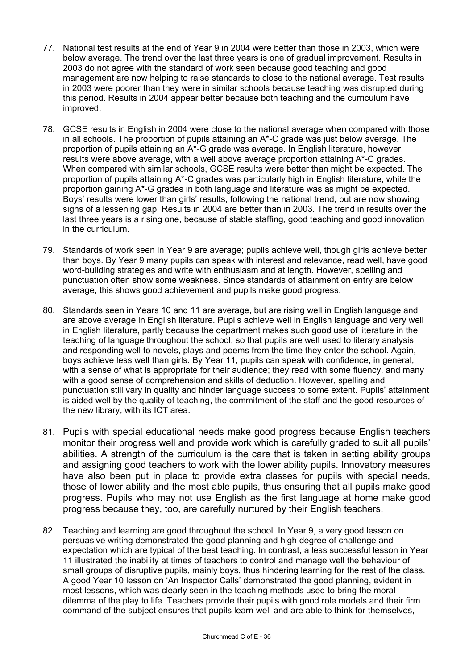- 77. National test results at the end of Year 9 in 2004 were better than those in 2003, which were below average. The trend over the last three years is one of gradual improvement. Results in 2003 do not agree with the standard of work seen because good teaching and good management are now helping to raise standards to close to the national average. Test results in 2003 were poorer than they were in similar schools because teaching was disrupted during this period. Results in 2004 appear better because both teaching and the curriculum have improved.
- 78. GCSE results in English in 2004 were close to the national average when compared with those in all schools. The proportion of pupils attaining an A\*-C grade was just below average. The proportion of pupils attaining an A\*-G grade was average. In English literature, however, results were above average, with a well above average proportion attaining A\*-C grades. When compared with similar schools, GCSE results were better than might be expected. The proportion of pupils attaining A\*-C grades was particularly high in English literature, while the proportion gaining A\*-G grades in both language and literature was as might be expected. Boys' results were lower than girls' results, following the national trend, but are now showing signs of a lessening gap. Results in 2004 are better than in 2003. The trend in results over the last three years is a rising one, because of stable staffing, good teaching and good innovation in the curriculum.
- 79. Standards of work seen in Year 9 are average; pupils achieve well, though girls achieve better than boys. By Year 9 many pupils can speak with interest and relevance, read well, have good word-building strategies and write with enthusiasm and at length. However, spelling and punctuation often show some weakness. Since standards of attainment on entry are below average, this shows good achievement and pupils make good progress.
- 80. Standards seen in Years 10 and 11 are average, but are rising well in English language and are above average in English literature. Pupils achieve well in English language and very well in English literature, partly because the department makes such good use of literature in the teaching of language throughout the school, so that pupils are well used to literary analysis and responding well to novels, plays and poems from the time they enter the school. Again, boys achieve less well than girls. By Year 11, pupils can speak with confidence, in general, with a sense of what is appropriate for their audience; they read with some fluency, and many with a good sense of comprehension and skills of deduction. However, spelling and punctuation still vary in quality and hinder language success to some extent. Pupils' attainment is aided well by the quality of teaching, the commitment of the staff and the good resources of the new library, with its ICT area.
- 81. Pupils with special educational needs make good progress because English teachers monitor their progress well and provide work which is carefully graded to suit all pupils' abilities. A strength of the curriculum is the care that is taken in setting ability groups and assigning good teachers to work with the lower ability pupils. Innovatory measures have also been put in place to provide extra classes for pupils with special needs, those of lower ability and the most able pupils, thus ensuring that all pupils make good progress. Pupils who may not use English as the first language at home make good progress because they, too, are carefully nurtured by their English teachers.
- 82. Teaching and learning are good throughout the school. In Year 9, a very good lesson on persuasive writing demonstrated the good planning and high degree of challenge and expectation which are typical of the best teaching. In contrast, a less successful lesson in Year 11 illustrated the inability at times of teachers to control and manage well the behaviour of small groups of disruptive pupils, mainly boys, thus hindering learning for the rest of the class. A good Year 10 lesson on 'An Inspector Calls' demonstrated the good planning, evident in most lessons, which was clearly seen in the teaching methods used to bring the moral dilemma of the play to life. Teachers provide their pupils with good role models and their firm command of the subject ensures that pupils learn well and are able to think for themselves,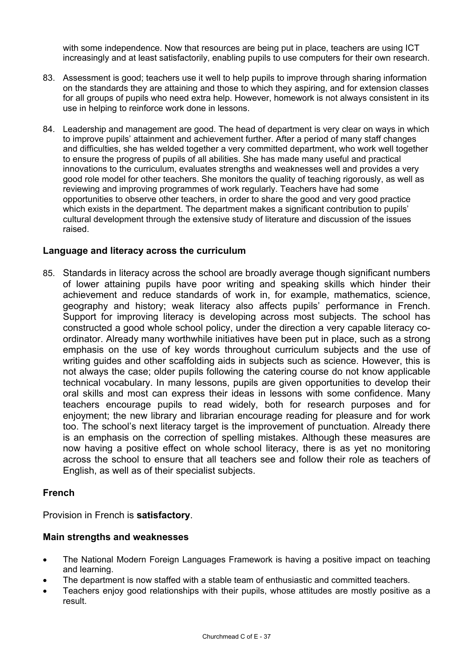with some independence. Now that resources are being put in place, teachers are using ICT increasingly and at least satisfactorily, enabling pupils to use computers for their own research.

- 83. Assessment is good; teachers use it well to help pupils to improve through sharing information on the standards they are attaining and those to which they aspiring, and for extension classes for all groups of pupils who need extra help. However, homework is not always consistent in its use in helping to reinforce work done in lessons.
- 84. Leadership and management are good. The head of department is very clear on ways in which to improve pupils' attainment and achievement further. After a period of many staff changes and difficulties, she has welded together a very committed department, who work well together to ensure the progress of pupils of all abilities. She has made many useful and practical innovations to the curriculum, evaluates strengths and weaknesses well and provides a very good role model for other teachers. She monitors the quality of teaching rigorously, as well as reviewing and improving programmes of work regularly. Teachers have had some opportunities to observe other teachers, in order to share the good and very good practice which exists in the department. The department makes a significant contribution to pupils' cultural development through the extensive study of literature and discussion of the issues raised.

## **Language and literacy across the curriculum**

85. Standards in literacy across the school are broadly average though significant numbers of lower attaining pupils have poor writing and speaking skills which hinder their achievement and reduce standards of work in, for example, mathematics, science, geography and history; weak literacy also affects pupils' performance in French. Support for improving literacy is developing across most subjects. The school has constructed a good whole school policy, under the direction a very capable literacy coordinator. Already many worthwhile initiatives have been put in place, such as a strong emphasis on the use of key words throughout curriculum subjects and the use of writing guides and other scaffolding aids in subjects such as science. However, this is not always the case; older pupils following the catering course do not know applicable technical vocabulary. In many lessons, pupils are given opportunities to develop their oral skills and most can express their ideas in lessons with some confidence. Many teachers encourage pupils to read widely, both for research purposes and for enjoyment; the new library and librarian encourage reading for pleasure and for work too. The school's next literacy target is the improvement of punctuation. Already there is an emphasis on the correction of spelling mistakes. Although these measures are now having a positive effect on whole school literacy, there is as yet no monitoring across the school to ensure that all teachers see and follow their role as teachers of English, as well as of their specialist subjects.

#### **French**

Provision in French is **satisfactory**.

#### **Main strengths and weaknesses**

- The National Modern Foreign Languages Framework is having a positive impact on teaching and learning.
- The department is now staffed with a stable team of enthusiastic and committed teachers.
- Teachers enjoy good relationships with their pupils, whose attitudes are mostly positive as a result.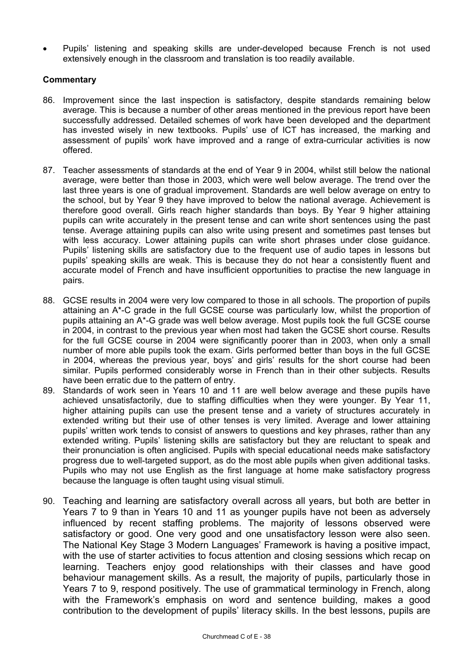• Pupils' listening and speaking skills are under-developed because French is not used extensively enough in the classroom and translation is too readily available.

- 86. Improvement since the last inspection is satisfactory, despite standards remaining below average. This is because a number of other areas mentioned in the previous report have been successfully addressed. Detailed schemes of work have been developed and the department has invested wisely in new textbooks. Pupils' use of ICT has increased, the marking and assessment of pupils' work have improved and a range of extra-curricular activities is now offered.
- 87. Teacher assessments of standards at the end of Year 9 in 2004, whilst still below the national average, were better than those in 2003, which were well below average. The trend over the last three years is one of gradual improvement. Standards are well below average on entry to the school, but by Year 9 they have improved to below the national average. Achievement is therefore good overall. Girls reach higher standards than boys. By Year 9 higher attaining pupils can write accurately in the present tense and can write short sentences using the past tense. Average attaining pupils can also write using present and sometimes past tenses but with less accuracy. Lower attaining pupils can write short phrases under close quidance. Pupils' listening skills are satisfactory due to the frequent use of audio tapes in lessons but pupils' speaking skills are weak. This is because they do not hear a consistently fluent and accurate model of French and have insufficient opportunities to practise the new language in pairs.
- 88. GCSE results in 2004 were very low compared to those in all schools. The proportion of pupils attaining an A\*-C grade in the full GCSE course was particularly low, whilst the proportion of pupils attaining an A\*-G grade was well below average. Most pupils took the full GCSE course in 2004, in contrast to the previous year when most had taken the GCSE short course. Results for the full GCSE course in 2004 were significantly poorer than in 2003, when only a small number of more able pupils took the exam. Girls performed better than boys in the full GCSE in 2004, whereas the previous year, boys' and girls' results for the short course had been similar. Pupils performed considerably worse in French than in their other subjects. Results have been erratic due to the pattern of entry.
- 89. Standards of work seen in Years 10 and 11 are well below average and these pupils have achieved unsatisfactorily, due to staffing difficulties when they were younger. By Year 11, higher attaining pupils can use the present tense and a variety of structures accurately in extended writing but their use of other tenses is very limited. Average and lower attaining pupils' written work tends to consist of answers to questions and key phrases, rather than any extended writing. Pupils' listening skills are satisfactory but they are reluctant to speak and their pronunciation is often anglicised. Pupils with special educational needs make satisfactory progress due to well-targeted support, as do the most able pupils when given additional tasks. Pupils who may not use English as the first language at home make satisfactory progress because the language is often taught using visual stimuli.
- 90. Teaching and learning are satisfactory overall across all years, but both are better in Years 7 to 9 than in Years 10 and 11 as younger pupils have not been as adversely influenced by recent staffing problems. The majority of lessons observed were satisfactory or good. One very good and one unsatisfactory lesson were also seen. The National Key Stage 3 Modern Languages' Framework is having a positive impact, with the use of starter activities to focus attention and closing sessions which recap on learning. Teachers enjoy good relationships with their classes and have good behaviour management skills. As a result, the majority of pupils, particularly those in Years 7 to 9, respond positively. The use of grammatical terminology in French, along with the Framework's emphasis on word and sentence building, makes a good contribution to the development of pupils' literacy skills. In the best lessons, pupils are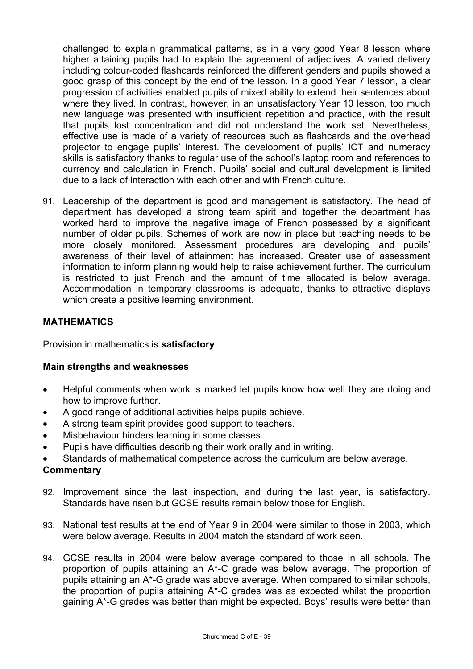challenged to explain grammatical patterns, as in a very good Year 8 lesson where higher attaining pupils had to explain the agreement of adjectives. A varied delivery including colour-coded flashcards reinforced the different genders and pupils showed a good grasp of this concept by the end of the lesson. In a good Year 7 lesson, a clear progression of activities enabled pupils of mixed ability to extend their sentences about where they lived. In contrast, however, in an unsatisfactory Year 10 lesson, too much new language was presented with insufficient repetition and practice, with the result that pupils lost concentration and did not understand the work set. Nevertheless, effective use is made of a variety of resources such as flashcards and the overhead projector to engage pupils' interest. The development of pupils' ICT and numeracy skills is satisfactory thanks to regular use of the school's laptop room and references to currency and calculation in French. Pupils' social and cultural development is limited due to a lack of interaction with each other and with French culture.

91. Leadership of the department is good and management is satisfactory. The head of department has developed a strong team spirit and together the department has worked hard to improve the negative image of French possessed by a significant number of older pupils. Schemes of work are now in place but teaching needs to be more closely monitored. Assessment procedures are developing and pupils' awareness of their level of attainment has increased. Greater use of assessment information to inform planning would help to raise achievement further. The curriculum is restricted to just French and the amount of time allocated is below average. Accommodation in temporary classrooms is adequate, thanks to attractive displays which create a positive learning environment.

# **MATHEMATICS**

Provision in mathematics is **satisfactory**.

#### **Main strengths and weaknesses**

- Helpful comments when work is marked let pupils know how well they are doing and how to improve further.
- A good range of additional activities helps pupils achieve.
- A strong team spirit provides good support to teachers.
- Misbehaviour hinders learning in some classes.
- Pupils have difficulties describing their work orally and in writing.
- Standards of mathematical competence across the curriculum are below average.

- 92. Improvement since the last inspection, and during the last year, is satisfactory. Standards have risen but GCSE results remain below those for English.
- 93. National test results at the end of Year 9 in 2004 were similar to those in 2003, which were below average. Results in 2004 match the standard of work seen.
- 94. GCSE results in 2004 were below average compared to those in all schools. The proportion of pupils attaining an A\*-C grade was below average. The proportion of pupils attaining an A\*-G grade was above average. When compared to similar schools, the proportion of pupils attaining A\*-C grades was as expected whilst the proportion gaining A\*-G grades was better than might be expected. Boys' results were better than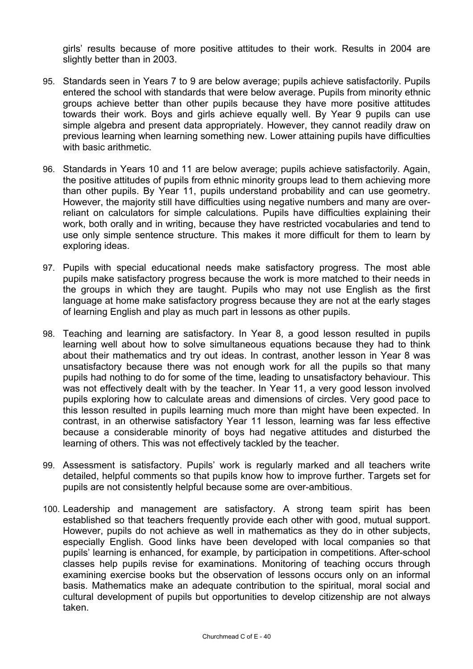girls' results because of more positive attitudes to their work. Results in 2004 are slightly better than in 2003.

- 95. Standards seen in Years 7 to 9 are below average; pupils achieve satisfactorily. Pupils entered the school with standards that were below average. Pupils from minority ethnic groups achieve better than other pupils because they have more positive attitudes towards their work. Boys and girls achieve equally well. By Year 9 pupils can use simple algebra and present data appropriately. However, they cannot readily draw on previous learning when learning something new. Lower attaining pupils have difficulties with basic arithmetic.
- 96. Standards in Years 10 and 11 are below average; pupils achieve satisfactorily. Again, the positive attitudes of pupils from ethnic minority groups lead to them achieving more than other pupils. By Year 11, pupils understand probability and can use geometry. However, the majority still have difficulties using negative numbers and many are overreliant on calculators for simple calculations. Pupils have difficulties explaining their work, both orally and in writing, because they have restricted vocabularies and tend to use only simple sentence structure. This makes it more difficult for them to learn by exploring ideas.
- 97. Pupils with special educational needs make satisfactory progress. The most able pupils make satisfactory progress because the work is more matched to their needs in the groups in which they are taught. Pupils who may not use English as the first language at home make satisfactory progress because they are not at the early stages of learning English and play as much part in lessons as other pupils.
- 98. Teaching and learning are satisfactory. In Year 8, a good lesson resulted in pupils learning well about how to solve simultaneous equations because they had to think about their mathematics and try out ideas. In contrast, another lesson in Year 8 was unsatisfactory because there was not enough work for all the pupils so that many pupils had nothing to do for some of the time, leading to unsatisfactory behaviour. This was not effectively dealt with by the teacher. In Year 11, a very good lesson involved pupils exploring how to calculate areas and dimensions of circles. Very good pace to this lesson resulted in pupils learning much more than might have been expected. In contrast, in an otherwise satisfactory Year 11 lesson, learning was far less effective because a considerable minority of boys had negative attitudes and disturbed the learning of others. This was not effectively tackled by the teacher.
- 99. Assessment is satisfactory. Pupils' work is regularly marked and all teachers write detailed, helpful comments so that pupils know how to improve further. Targets set for pupils are not consistently helpful because some are over-ambitious.
- 100. Leadership and management are satisfactory. A strong team spirit has been established so that teachers frequently provide each other with good, mutual support. However, pupils do not achieve as well in mathematics as they do in other subjects, especially English. Good links have been developed with local companies so that pupils' learning is enhanced, for example, by participation in competitions. After-school classes help pupils revise for examinations. Monitoring of teaching occurs through examining exercise books but the observation of lessons occurs only on an informal basis. Mathematics make an adequate contribution to the spiritual, moral social and cultural development of pupils but opportunities to develop citizenship are not always taken.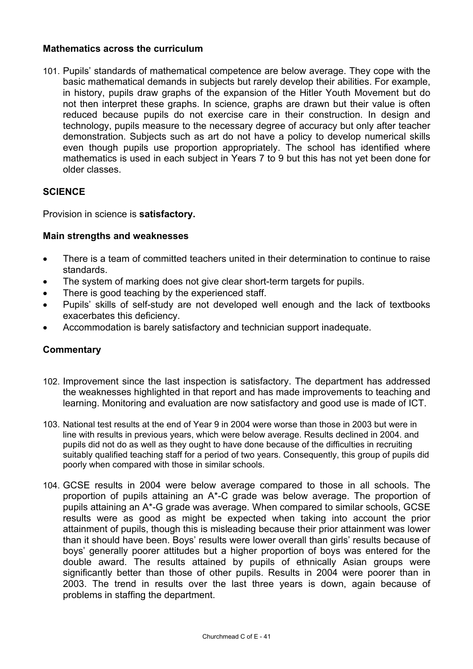## **Mathematics across the curriculum**

101. Pupils' standards of mathematical competence are below average. They cope with the basic mathematical demands in subjects but rarely develop their abilities. For example, in history, pupils draw graphs of the expansion of the Hitler Youth Movement but do not then interpret these graphs. In science, graphs are drawn but their value is often reduced because pupils do not exercise care in their construction. In design and technology, pupils measure to the necessary degree of accuracy but only after teacher demonstration. Subjects such as art do not have a policy to develop numerical skills even though pupils use proportion appropriately. The school has identified where mathematics is used in each subject in Years 7 to 9 but this has not yet been done for older classes.

# **SCIENCE**

Provision in science is **satisfactory.**

## **Main strengths and weaknesses**

- There is a team of committed teachers united in their determination to continue to raise standards.
- The system of marking does not give clear short-term targets for pupils.
- There is good teaching by the experienced staff.
- Pupils' skills of self-study are not developed well enough and the lack of textbooks exacerbates this deficiency.
- Accommodation is barely satisfactory and technician support inadequate.

- 102. Improvement since the last inspection is satisfactory. The department has addressed the weaknesses highlighted in that report and has made improvements to teaching and learning. Monitoring and evaluation are now satisfactory and good use is made of ICT.
- 103. National test results at the end of Year 9 in 2004 were worse than those in 2003 but were in line with results in previous years, which were below average. Results declined in 2004. and pupils did not do as well as they ought to have done because of the difficulties in recruiting suitably qualified teaching staff for a period of two years. Consequently, this group of pupils did poorly when compared with those in similar schools.
- 104. GCSE results in 2004 were below average compared to those in all schools. The proportion of pupils attaining an A\*-C grade was below average. The proportion of pupils attaining an A\*-G grade was average. When compared to similar schools, GCSE results were as good as might be expected when taking into account the prior attainment of pupils, though this is misleading because their prior attainment was lower than it should have been. Boys' results were lower overall than girls' results because of boys' generally poorer attitudes but a higher proportion of boys was entered for the double award. The results attained by pupils of ethnically Asian groups were significantly better than those of other pupils. Results in 2004 were poorer than in 2003. The trend in results over the last three years is down, again because of problems in staffing the department.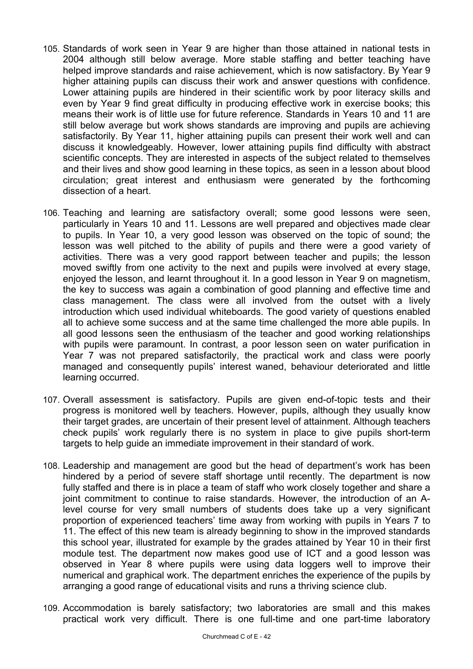- 105. Standards of work seen in Year 9 are higher than those attained in national tests in 2004 although still below average. More stable staffing and better teaching have helped improve standards and raise achievement, which is now satisfactory. By Year 9 higher attaining pupils can discuss their work and answer questions with confidence. Lower attaining pupils are hindered in their scientific work by poor literacy skills and even by Year 9 find great difficulty in producing effective work in exercise books; this means their work is of little use for future reference. Standards in Years 10 and 11 are still below average but work shows standards are improving and pupils are achieving satisfactorily. By Year 11, higher attaining pupils can present their work well and can discuss it knowledgeably. However, lower attaining pupils find difficulty with abstract scientific concepts. They are interested in aspects of the subject related to themselves and their lives and show good learning in these topics, as seen in a lesson about blood circulation; great interest and enthusiasm were generated by the forthcoming dissection of a heart.
- 106. Teaching and learning are satisfactory overall; some good lessons were seen, particularly in Years 10 and 11. Lessons are well prepared and objectives made clear to pupils. In Year 10, a very good lesson was observed on the topic of sound; the lesson was well pitched to the ability of pupils and there were a good variety of activities. There was a very good rapport between teacher and pupils; the lesson moved swiftly from one activity to the next and pupils were involved at every stage, enjoyed the lesson, and learnt throughout it. In a good lesson in Year 9 on magnetism, the key to success was again a combination of good planning and effective time and class management. The class were all involved from the outset with a lively introduction which used individual whiteboards. The good variety of questions enabled all to achieve some success and at the same time challenged the more able pupils. In all good lessons seen the enthusiasm of the teacher and good working relationships with pupils were paramount. In contrast, a poor lesson seen on water purification in Year 7 was not prepared satisfactorily, the practical work and class were poorly managed and consequently pupils' interest waned, behaviour deteriorated and little learning occurred.
- 107. Overall assessment is satisfactory. Pupils are given end-of-topic tests and their progress is monitored well by teachers. However, pupils, although they usually know their target grades, are uncertain of their present level of attainment. Although teachers check pupils' work regularly there is no system in place to give pupils short-term targets to help guide an immediate improvement in their standard of work.
- 108. Leadership and management are good but the head of department's work has been hindered by a period of severe staff shortage until recently. The department is now fully staffed and there is in place a team of staff who work closely together and share a joint commitment to continue to raise standards. However, the introduction of an Alevel course for very small numbers of students does take up a very significant proportion of experienced teachers' time away from working with pupils in Years 7 to 11. The effect of this new team is already beginning to show in the improved standards this school year, illustrated for example by the grades attained by Year 10 in their first module test. The department now makes good use of ICT and a good lesson was observed in Year 8 where pupils were using data loggers well to improve their numerical and graphical work. The department enriches the experience of the pupils by arranging a good range of educational visits and runs a thriving science club.
- 109. Accommodation is barely satisfactory; two laboratories are small and this makes practical work very difficult. There is one full-time and one part-time laboratory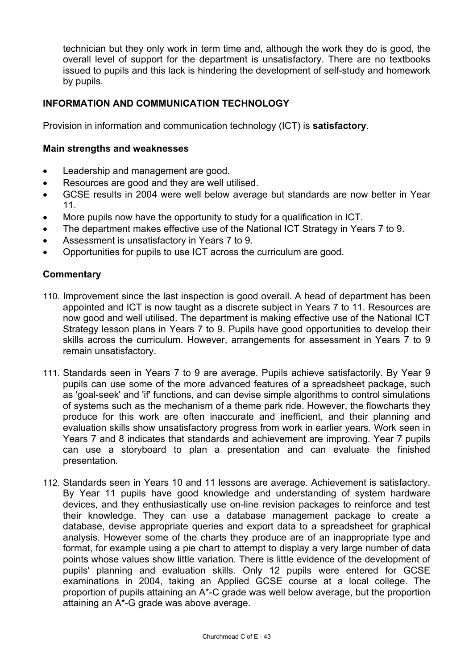technician but they only work in term time and, although the work they do is good, the overall level of support for the department is unsatisfactory. There are no textbooks issued to pupils and this lack is hindering the development of self-study and homework by pupils.

# **INFORMATION AND COMMUNICATION TECHNOLOGY**

Provision in information and communication technology (ICT) is **satisfactory**.

## **Main strengths and weaknesses**

- Leadership and management are good.
- Resources are good and they are well utilised.
- GCSE results in 2004 were well below average but standards are now better in Year 11.
- More pupils now have the opportunity to study for a qualification in ICT.
- The department makes effective use of the National ICT Strategy in Years 7 to 9.
- Assessment is unsatisfactory in Years 7 to 9.
- Opportunities for pupils to use ICT across the curriculum are good.

- 110. Improvement since the last inspection is good overall. A head of department has been appointed and ICT is now taught as a discrete subject in Years 7 to 11. Resources are now good and well utilised. The department is making effective use of the National ICT Strategy lesson plans in Years 7 to 9. Pupils have good opportunities to develop their skills across the curriculum. However, arrangements for assessment in Years 7 to 9 remain unsatisfactory.
- 111. Standards seen in Years 7 to 9 are average. Pupils achieve satisfactorily. By Year 9 pupils can use some of the more advanced features of a spreadsheet package, such as 'goal-seek' and 'if' functions, and can devise simple algorithms to control simulations of systems such as the mechanism of a theme park ride. However, the flowcharts they produce for this work are often inaccurate and inefficient, and their planning and evaluation skills show unsatisfactory progress from work in earlier years. Work seen in Years 7 and 8 indicates that standards and achievement are improving. Year 7 pupils can use a storyboard to plan a presentation and can evaluate the finished presentation.
- 112. Standards seen in Years 10 and 11 lessons are average. Achievement is satisfactory. By Year 11 pupils have good knowledge and understanding of system hardware devices, and they enthusiastically use on-line revision packages to reinforce and test their knowledge. They can use a database management package to create a database, devise appropriate queries and export data to a spreadsheet for graphical analysis. However some of the charts they produce are of an inappropriate type and format, for example using a pie chart to attempt to display a very large number of data points whose values show little variation. There is little evidence of the development of pupils' planning and evaluation skills. Only 12 pupils were entered for GCSE examinations in 2004, taking an Applied GCSE course at a local college. The proportion of pupils attaining an A\*-C grade was well below average, but the proportion attaining an A\*-G grade was above average.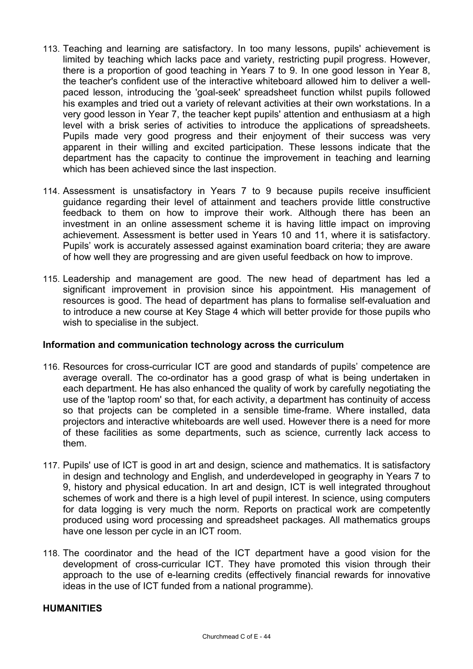- 113. Teaching and learning are satisfactory. In too many lessons, pupils' achievement is limited by teaching which lacks pace and variety, restricting pupil progress. However, there is a proportion of good teaching in Years 7 to 9. In one good lesson in Year 8, the teacher's confident use of the interactive whiteboard allowed him to deliver a wellpaced lesson, introducing the 'goal-seek' spreadsheet function whilst pupils followed his examples and tried out a variety of relevant activities at their own workstations. In a very good lesson in Year 7, the teacher kept pupils' attention and enthusiasm at a high level with a brisk series of activities to introduce the applications of spreadsheets. Pupils made very good progress and their enjoyment of their success was very apparent in their willing and excited participation. These lessons indicate that the department has the capacity to continue the improvement in teaching and learning which has been achieved since the last inspection.
- 114. Assessment is unsatisfactory in Years 7 to 9 because pupils receive insufficient guidance regarding their level of attainment and teachers provide little constructive feedback to them on how to improve their work. Although there has been an investment in an online assessment scheme it is having little impact on improving achievement. Assessment is better used in Years 10 and 11, where it is satisfactory. Pupils' work is accurately assessed against examination board criteria; they are aware of how well they are progressing and are given useful feedback on how to improve.
- 115. Leadership and management are good. The new head of department has led a significant improvement in provision since his appointment. His management of resources is good. The head of department has plans to formalise self-evaluation and to introduce a new course at Key Stage 4 which will better provide for those pupils who wish to specialise in the subject.

## **Information and communication technology across the curriculum**

- 116. Resources for cross-curricular ICT are good and standards of pupils' competence are average overall. The co-ordinator has a good grasp of what is being undertaken in each department. He has also enhanced the quality of work by carefully negotiating the use of the 'laptop room' so that, for each activity, a department has continuity of access so that projects can be completed in a sensible time-frame. Where installed, data projectors and interactive whiteboards are well used. However there is a need for more of these facilities as some departments, such as science, currently lack access to them.
- 117. Pupils' use of ICT is good in art and design, science and mathematics. It is satisfactory in design and technology and English, and underdeveloped in geography in Years 7 to 9, history and physical education. In art and design, ICT is well integrated throughout schemes of work and there is a high level of pupil interest. In science, using computers for data logging is very much the norm. Reports on practical work are competently produced using word processing and spreadsheet packages. All mathematics groups have one lesson per cycle in an ICT room.
- 118. The coordinator and the head of the ICT department have a good vision for the development of cross-curricular ICT. They have promoted this vision through their approach to the use of e-learning credits (effectively financial rewards for innovative ideas in the use of ICT funded from a national programme).

#### **HUMANITIES**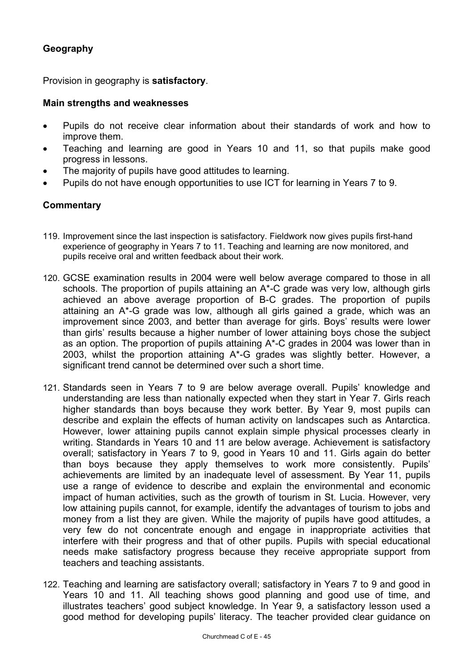# **Geography**

Provision in geography is **satisfactory**.

#### **Main strengths and weaknesses**

- Pupils do not receive clear information about their standards of work and how to improve them.
- Teaching and learning are good in Years 10 and 11, so that pupils make good progress in lessons.
- The majority of pupils have good attitudes to learning.
- Pupils do not have enough opportunities to use ICT for learning in Years 7 to 9.

- 119. Improvement since the last inspection is satisfactory. Fieldwork now gives pupils first-hand experience of geography in Years 7 to 11. Teaching and learning are now monitored, and pupils receive oral and written feedback about their work.
- 120. GCSE examination results in 2004 were well below average compared to those in all schools. The proportion of pupils attaining an A\*-C grade was very low, although girls achieved an above average proportion of B-C grades. The proportion of pupils attaining an A\*-G grade was low, although all girls gained a grade, which was an improvement since 2003, and better than average for girls. Boys' results were lower than girls' results because a higher number of lower attaining boys chose the subject as an option. The proportion of pupils attaining A\*-C grades in 2004 was lower than in 2003, whilst the proportion attaining A\*-G grades was slightly better. However, a significant trend cannot be determined over such a short time.
- 121. Standards seen in Years 7 to 9 are below average overall. Pupils' knowledge and understanding are less than nationally expected when they start in Year 7. Girls reach higher standards than boys because they work better. By Year 9, most pupils can describe and explain the effects of human activity on landscapes such as Antarctica. However, lower attaining pupils cannot explain simple physical processes clearly in writing. Standards in Years 10 and 11 are below average. Achievement is satisfactory overall; satisfactory in Years 7 to 9, good in Years 10 and 11. Girls again do better than boys because they apply themselves to work more consistently. Pupils' achievements are limited by an inadequate level of assessment. By Year 11, pupils use a range of evidence to describe and explain the environmental and economic impact of human activities, such as the growth of tourism in St. Lucia. However, very low attaining pupils cannot, for example, identify the advantages of tourism to jobs and money from a list they are given. While the majority of pupils have good attitudes, a very few do not concentrate enough and engage in inappropriate activities that interfere with their progress and that of other pupils. Pupils with special educational needs make satisfactory progress because they receive appropriate support from teachers and teaching assistants.
- 122. Teaching and learning are satisfactory overall; satisfactory in Years 7 to 9 and good in Years 10 and 11. All teaching shows good planning and good use of time, and illustrates teachers' good subject knowledge. In Year 9, a satisfactory lesson used a good method for developing pupils' literacy. The teacher provided clear guidance on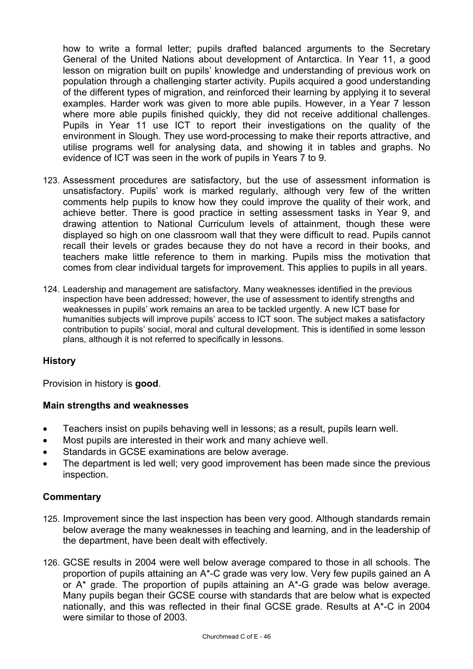how to write a formal letter; pupils drafted balanced arguments to the Secretary General of the United Nations about development of Antarctica. In Year 11, a good lesson on migration built on pupils' knowledge and understanding of previous work on population through a challenging starter activity. Pupils acquired a good understanding of the different types of migration, and reinforced their learning by applying it to several examples. Harder work was given to more able pupils. However, in a Year 7 lesson where more able pupils finished quickly, they did not receive additional challenges. Pupils in Year 11 use ICT to report their investigations on the quality of the environment in Slough. They use word-processing to make their reports attractive, and utilise programs well for analysing data, and showing it in tables and graphs. No evidence of ICT was seen in the work of pupils in Years 7 to 9.

- 123. Assessment procedures are satisfactory, but the use of assessment information is unsatisfactory. Pupils' work is marked regularly, although very few of the written comments help pupils to know how they could improve the quality of their work, and achieve better. There is good practice in setting assessment tasks in Year 9, and drawing attention to National Curriculum levels of attainment, though these were displayed so high on one classroom wall that they were difficult to read. Pupils cannot recall their levels or grades because they do not have a record in their books, and teachers make little reference to them in marking. Pupils miss the motivation that comes from clear individual targets for improvement. This applies to pupils in all years.
- 124. Leadership and management are satisfactory. Many weaknesses identified in the previous inspection have been addressed; however, the use of assessment to identify strengths and weaknesses in pupils' work remains an area to be tackled urgently. A new ICT base for humanities subjects will improve pupils' access to ICT soon. The subject makes a satisfactory contribution to pupils' social, moral and cultural development. This is identified in some lesson plans, although it is not referred to specifically in lessons.

## **History**

Provision in history is **good**.

#### **Main strengths and weaknesses**

- Teachers insist on pupils behaving well in lessons; as a result, pupils learn well.
- Most pupils are interested in their work and many achieve well.
- Standards in GCSE examinations are below average.
- The department is led well; very good improvement has been made since the previous inspection.

- 125. Improvement since the last inspection has been very good. Although standards remain below average the many weaknesses in teaching and learning, and in the leadership of the department, have been dealt with effectively.
- 126. GCSE results in 2004 were well below average compared to those in all schools. The proportion of pupils attaining an A\*-C grade was very low. Very few pupils gained an A or A\* grade. The proportion of pupils attaining an A\*-G grade was below average. Many pupils began their GCSE course with standards that are below what is expected nationally, and this was reflected in their final GCSE grade. Results at A\*-C in 2004 were similar to those of 2003.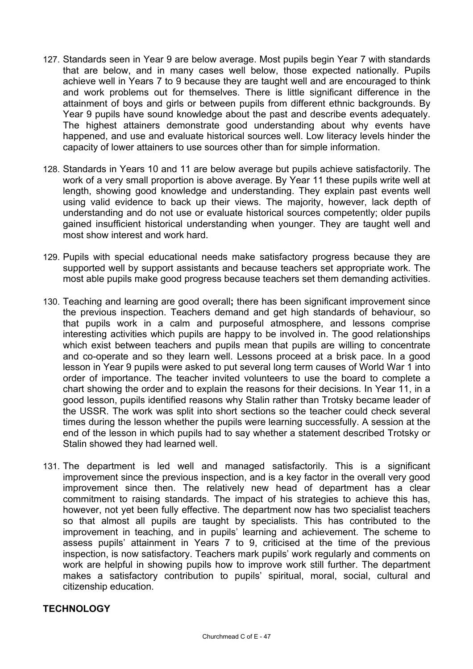- 127. Standards seen in Year 9 are below average. Most pupils begin Year 7 with standards that are below, and in many cases well below, those expected nationally. Pupils achieve well in Years 7 to 9 because they are taught well and are encouraged to think and work problems out for themselves. There is little significant difference in the attainment of boys and girls or between pupils from different ethnic backgrounds. By Year 9 pupils have sound knowledge about the past and describe events adequately. The highest attainers demonstrate good understanding about why events have happened, and use and evaluate historical sources well. Low literacy levels hinder the capacity of lower attainers to use sources other than for simple information.
- 128. Standards in Years 10 and 11 are below average but pupils achieve satisfactorily. The work of a very small proportion is above average. By Year 11 these pupils write well at length, showing good knowledge and understanding. They explain past events well using valid evidence to back up their views. The majority, however, lack depth of understanding and do not use or evaluate historical sources competently; older pupils gained insufficient historical understanding when younger. They are taught well and most show interest and work hard.
- 129. Pupils with special educational needs make satisfactory progress because they are supported well by support assistants and because teachers set appropriate work. The most able pupils make good progress because teachers set them demanding activities.
- 130. Teaching and learning are good overall**;** there has been significant improvement since the previous inspection. Teachers demand and get high standards of behaviour, so that pupils work in a calm and purposeful atmosphere, and lessons comprise interesting activities which pupils are happy to be involved in. The good relationships which exist between teachers and pupils mean that pupils are willing to concentrate and co-operate and so they learn well. Lessons proceed at a brisk pace. In a good lesson in Year 9 pupils were asked to put several long term causes of World War 1 into order of importance. The teacher invited volunteers to use the board to complete a chart showing the order and to explain the reasons for their decisions. In Year 11, in a good lesson, pupils identified reasons why Stalin rather than Trotsky became leader of the USSR. The work was split into short sections so the teacher could check several times during the lesson whether the pupils were learning successfully. A session at the end of the lesson in which pupils had to say whether a statement described Trotsky or Stalin showed they had learned well.
- 131. The department is led well and managed satisfactorily. This is a significant improvement since the previous inspection, and is a key factor in the overall very good improvement since then. The relatively new head of department has a clear commitment to raising standards. The impact of his strategies to achieve this has, however, not yet been fully effective. The department now has two specialist teachers so that almost all pupils are taught by specialists. This has contributed to the improvement in teaching, and in pupils' learning and achievement. The scheme to assess pupils' attainment in Years 7 to 9, criticised at the time of the previous inspection, is now satisfactory. Teachers mark pupils' work regularly and comments on work are helpful in showing pupils how to improve work still further. The department makes a satisfactory contribution to pupils' spiritual, moral, social, cultural and citizenship education.

#### **TECHNOLOGY**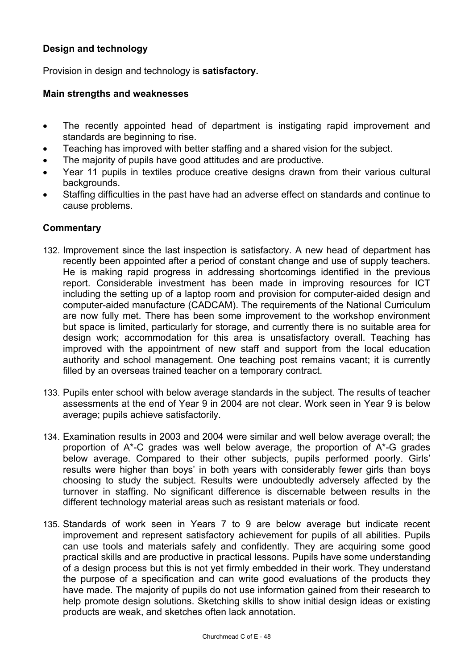# **Design and technology**

Provision in design and technology is **satisfactory.** 

## **Main strengths and weaknesses**

- The recently appointed head of department is instigating rapid improvement and standards are beginning to rise.
- Teaching has improved with better staffing and a shared vision for the subject.
- The majority of pupils have good attitudes and are productive.
- Year 11 pupils in textiles produce creative designs drawn from their various cultural backgrounds.
- Staffing difficulties in the past have had an adverse effect on standards and continue to cause problems.

- 132. Improvement since the last inspection is satisfactory. A new head of department has recently been appointed after a period of constant change and use of supply teachers. He is making rapid progress in addressing shortcomings identified in the previous report. Considerable investment has been made in improving resources for ICT including the setting up of a laptop room and provision for computer-aided design and computer-aided manufacture (CADCAM). The requirements of the National Curriculum are now fully met. There has been some improvement to the workshop environment but space is limited, particularly for storage, and currently there is no suitable area for design work; accommodation for this area is unsatisfactory overall. Teaching has improved with the appointment of new staff and support from the local education authority and school management. One teaching post remains vacant; it is currently filled by an overseas trained teacher on a temporary contract.
- 133. Pupils enter school with below average standards in the subject. The results of teacher assessments at the end of Year 9 in 2004 are not clear. Work seen in Year 9 is below average; pupils achieve satisfactorily.
- 134. Examination results in 2003 and 2004 were similar and well below average overall; the proportion of A\*-C grades was well below average, the proportion of A\*-G grades below average. Compared to their other subjects, pupils performed poorly. Girls' results were higher than boys' in both years with considerably fewer girls than boys choosing to study the subject. Results were undoubtedly adversely affected by the turnover in staffing. No significant difference is discernable between results in the different technology material areas such as resistant materials or food.
- 135. Standards of work seen in Years 7 to 9 are below average but indicate recent improvement and represent satisfactory achievement for pupils of all abilities. Pupils can use tools and materials safely and confidently. They are acquiring some good practical skills and are productive in practical lessons. Pupils have some understanding of a design process but this is not yet firmly embedded in their work. They understand the purpose of a specification and can write good evaluations of the products they have made. The majority of pupils do not use information gained from their research to help promote design solutions. Sketching skills to show initial design ideas or existing products are weak, and sketches often lack annotation.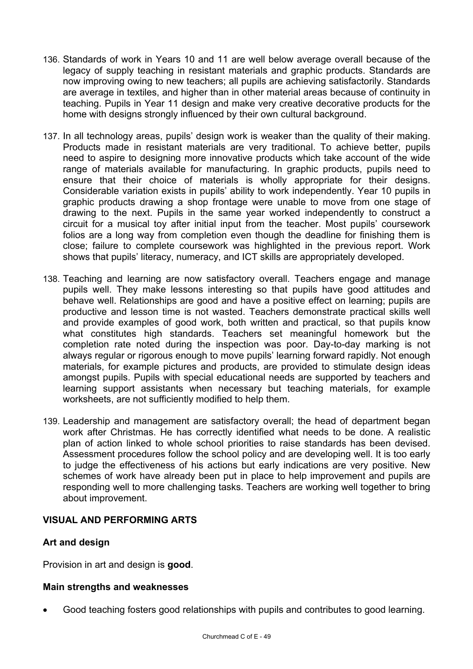- 136. Standards of work in Years 10 and 11 are well below average overall because of the legacy of supply teaching in resistant materials and graphic products. Standards are now improving owing to new teachers; all pupils are achieving satisfactorily. Standards are average in textiles, and higher than in other material areas because of continuity in teaching. Pupils in Year 11 design and make very creative decorative products for the home with designs strongly influenced by their own cultural background.
- 137. In all technology areas, pupils' design work is weaker than the quality of their making. Products made in resistant materials are very traditional. To achieve better, pupils need to aspire to designing more innovative products which take account of the wide range of materials available for manufacturing. In graphic products, pupils need to ensure that their choice of materials is wholly appropriate for their designs. Considerable variation exists in pupils' ability to work independently. Year 10 pupils in graphic products drawing a shop frontage were unable to move from one stage of drawing to the next. Pupils in the same year worked independently to construct a circuit for a musical toy after initial input from the teacher. Most pupils' coursework folios are a long way from completion even though the deadline for finishing them is close; failure to complete coursework was highlighted in the previous report. Work shows that pupils' literacy, numeracy, and ICT skills are appropriately developed.
- 138. Teaching and learning are now satisfactory overall. Teachers engage and manage pupils well. They make lessons interesting so that pupils have good attitudes and behave well. Relationships are good and have a positive effect on learning; pupils are productive and lesson time is not wasted. Teachers demonstrate practical skills well and provide examples of good work, both written and practical, so that pupils know what constitutes high standards. Teachers set meaningful homework but the completion rate noted during the inspection was poor. Day-to-day marking is not always regular or rigorous enough to move pupils' learning forward rapidly. Not enough materials, for example pictures and products, are provided to stimulate design ideas amongst pupils. Pupils with special educational needs are supported by teachers and learning support assistants when necessary but teaching materials, for example worksheets, are not sufficiently modified to help them.
- 139. Leadership and management are satisfactory overall; the head of department began work after Christmas. He has correctly identified what needs to be done. A realistic plan of action linked to whole school priorities to raise standards has been devised. Assessment procedures follow the school policy and are developing well. It is too early to judge the effectiveness of his actions but early indications are very positive. New schemes of work have already been put in place to help improvement and pupils are responding well to more challenging tasks. Teachers are working well together to bring about improvement.

## **VISUAL AND PERFORMING ARTS**

## **Art and design**

Provision in art and design is **good**.

#### **Main strengths and weaknesses**

• Good teaching fosters good relationships with pupils and contributes to good learning.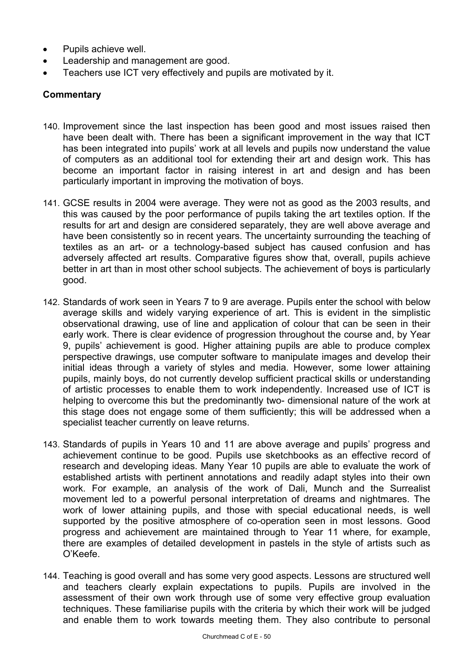- Pupils achieve well.
- Leadership and management are good.
- Teachers use ICT very effectively and pupils are motivated by it.

- 140. Improvement since the last inspection has been good and most issues raised then have been dealt with. There has been a significant improvement in the way that ICT has been integrated into pupils' work at all levels and pupils now understand the value of computers as an additional tool for extending their art and design work. This has become an important factor in raising interest in art and design and has been particularly important in improving the motivation of boys.
- 141. GCSE results in 2004 were average. They were not as good as the 2003 results, and this was caused by the poor performance of pupils taking the art textiles option. If the results for art and design are considered separately, they are well above average and have been consistently so in recent years. The uncertainty surrounding the teaching of textiles as an art- or a technology-based subject has caused confusion and has adversely affected art results. Comparative figures show that, overall, pupils achieve better in art than in most other school subjects. The achievement of boys is particularly good.
- 142. Standards of work seen in Years 7 to 9 are average. Pupils enter the school with below average skills and widely varying experience of art. This is evident in the simplistic observational drawing, use of line and application of colour that can be seen in their early work. There is clear evidence of progression throughout the course and, by Year 9, pupils' achievement is good. Higher attaining pupils are able to produce complex perspective drawings, use computer software to manipulate images and develop their initial ideas through a variety of styles and media. However, some lower attaining pupils, mainly boys, do not currently develop sufficient practical skills or understanding of artistic processes to enable them to work independently. Increased use of ICT is helping to overcome this but the predominantly two- dimensional nature of the work at this stage does not engage some of them sufficiently; this will be addressed when a specialist teacher currently on leave returns.
- 143. Standards of pupils in Years 10 and 11 are above average and pupils' progress and achievement continue to be good. Pupils use sketchbooks as an effective record of research and developing ideas. Many Year 10 pupils are able to evaluate the work of established artists with pertinent annotations and readily adapt styles into their own work. For example, an analysis of the work of Dali, Munch and the Surrealist movement led to a powerful personal interpretation of dreams and nightmares. The work of lower attaining pupils, and those with special educational needs, is well supported by the positive atmosphere of co-operation seen in most lessons. Good progress and achievement are maintained through to Year 11 where, for example, there are examples of detailed development in pastels in the style of artists such as O'Keefe.
- 144. Teaching is good overall and has some very good aspects. Lessons are structured well and teachers clearly explain expectations to pupils. Pupils are involved in the assessment of their own work through use of some very effective group evaluation techniques. These familiarise pupils with the criteria by which their work will be judged and enable them to work towards meeting them. They also contribute to personal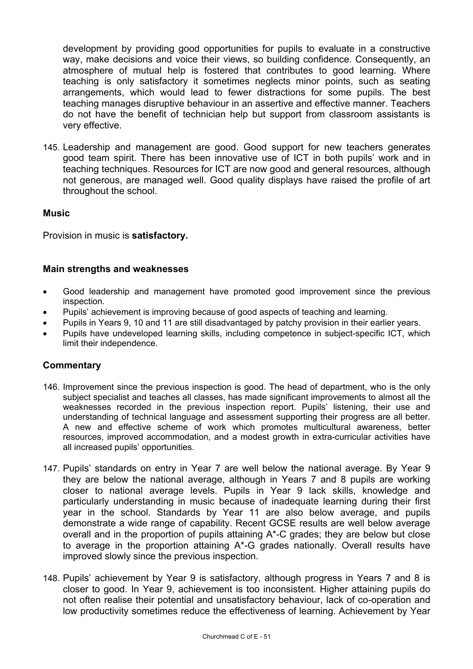development by providing good opportunities for pupils to evaluate in a constructive way, make decisions and voice their views, so building confidence. Consequently, an atmosphere of mutual help is fostered that contributes to good learning. Where teaching is only satisfactory it sometimes neglects minor points, such as seating arrangements, which would lead to fewer distractions for some pupils. The best teaching manages disruptive behaviour in an assertive and effective manner. Teachers do not have the benefit of technician help but support from classroom assistants is very effective.

145. Leadership and management are good. Good support for new teachers generates good team spirit. There has been innovative use of ICT in both pupils' work and in teaching techniques. Resources for ICT are now good and general resources, although not generous, are managed well. Good quality displays have raised the profile of art throughout the school.

## **Music**

Provision in music is **satisfactory.** 

## **Main strengths and weaknesses**

- Good leadership and management have promoted good improvement since the previous inspection.
- Pupils' achievement is improving because of good aspects of teaching and learning.
- Pupils in Years 9, 10 and 11 are still disadvantaged by patchy provision in their earlier years.
- Pupils have undeveloped learning skills, including competence in subject-specific ICT, which limit their independence.

- 146. Improvement since the previous inspection is good. The head of department, who is the only subject specialist and teaches all classes, has made significant improvements to almost all the weaknesses recorded in the previous inspection report. Pupils' listening, their use and understanding of technical language and assessment supporting their progress are all better. A new and effective scheme of work which promotes multicultural awareness, better resources, improved accommodation, and a modest growth in extra-curricular activities have all increased pupils' opportunities.
- 147. Pupils' standards on entry in Year 7 are well below the national average. By Year 9 they are below the national average, although in Years 7 and 8 pupils are working closer to national average levels. Pupils in Year 9 lack skills, knowledge and particularly understanding in music because of inadequate learning during their first year in the school. Standards by Year 11 are also below average, and pupils demonstrate a wide range of capability. Recent GCSE results are well below average overall and in the proportion of pupils attaining A\*-C grades; they are below but close to average in the proportion attaining A\*-G grades nationally. Overall results have improved slowly since the previous inspection.
- 148. Pupils' achievement by Year 9 is satisfactory, although progress in Years 7 and 8 is closer to good. In Year 9, achievement is too inconsistent. Higher attaining pupils do not often realise their potential and unsatisfactory behaviour, lack of co-operation and low productivity sometimes reduce the effectiveness of learning. Achievement by Year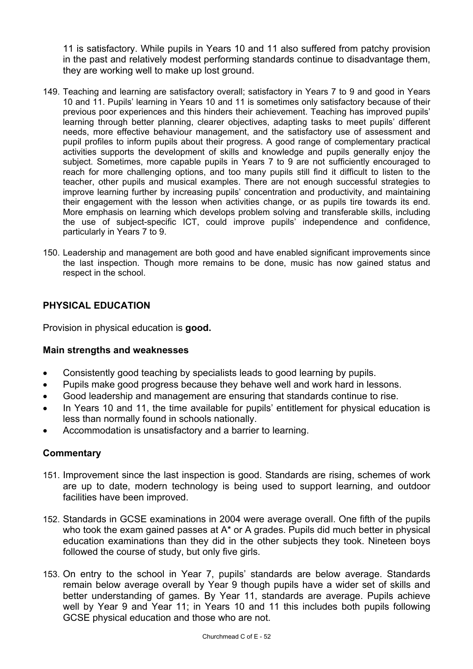11 is satisfactory. While pupils in Years 10 and 11 also suffered from patchy provision in the past and relatively modest performing standards continue to disadvantage them, they are working well to make up lost ground.

- 149. Teaching and learning are satisfactory overall; satisfactory in Years 7 to 9 and good in Years 10 and 11. Pupils' learning in Years 10 and 11 is sometimes only satisfactory because of their previous poor experiences and this hinders their achievement. Teaching has improved pupils' learning through better planning, clearer objectives, adapting tasks to meet pupils' different needs, more effective behaviour management, and the satisfactory use of assessment and pupil profiles to inform pupils about their progress. A good range of complementary practical activities supports the development of skills and knowledge and pupils generally enjoy the subject. Sometimes, more capable pupils in Years 7 to 9 are not sufficiently encouraged to reach for more challenging options, and too many pupils still find it difficult to listen to the teacher, other pupils and musical examples. There are not enough successful strategies to improve learning further by increasing pupils' concentration and productivity, and maintaining their engagement with the lesson when activities change, or as pupils tire towards its end. More emphasis on learning which develops problem solving and transferable skills, including the use of subject-specific ICT, could improve pupils' independence and confidence, particularly in Years 7 to 9.
- 150. Leadership and management are both good and have enabled significant improvements since the last inspection. Though more remains to be done, music has now gained status and respect in the school.

# **PHYSICAL EDUCATION**

Provision in physical education is **good.**

## **Main strengths and weaknesses**

- Consistently good teaching by specialists leads to good learning by pupils.
- Pupils make good progress because they behave well and work hard in lessons.
- Good leadership and management are ensuring that standards continue to rise.
- In Years 10 and 11, the time available for pupils' entitlement for physical education is less than normally found in schools nationally.
- Accommodation is unsatisfactory and a barrier to learning.

- 151. Improvement since the last inspection is good. Standards are rising, schemes of work are up to date, modern technology is being used to support learning, and outdoor facilities have been improved.
- 152. Standards in GCSE examinations in 2004 were average overall. One fifth of the pupils who took the exam gained passes at A\* or A grades. Pupils did much better in physical education examinations than they did in the other subjects they took. Nineteen boys followed the course of study, but only five girls.
- 153. On entry to the school in Year 7, pupils' standards are below average. Standards remain below average overall by Year 9 though pupils have a wider set of skills and better understanding of games. By Year 11, standards are average. Pupils achieve well by Year 9 and Year 11; in Years 10 and 11 this includes both pupils following GCSE physical education and those who are not.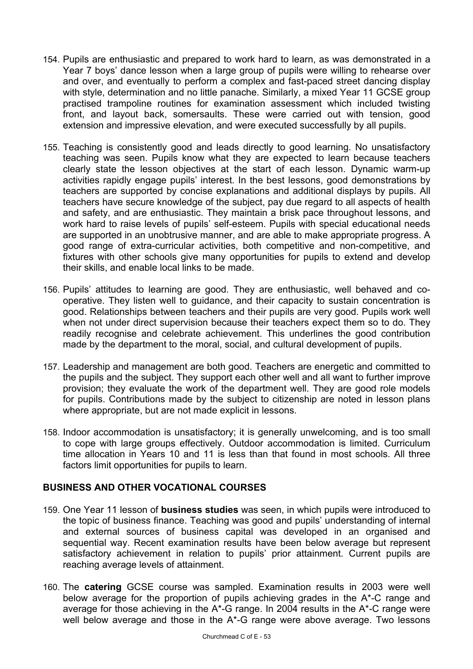- 154. Pupils are enthusiastic and prepared to work hard to learn, as was demonstrated in a Year 7 boys' dance lesson when a large group of pupils were willing to rehearse over and over, and eventually to perform a complex and fast-paced street dancing display with style, determination and no little panache. Similarly, a mixed Year 11 GCSE group practised trampoline routines for examination assessment which included twisting front, and layout back, somersaults. These were carried out with tension, good extension and impressive elevation, and were executed successfully by all pupils.
- 155. Teaching is consistently good and leads directly to good learning. No unsatisfactory teaching was seen. Pupils know what they are expected to learn because teachers clearly state the lesson objectives at the start of each lesson. Dynamic warm-up activities rapidly engage pupils' interest. In the best lessons, good demonstrations by teachers are supported by concise explanations and additional displays by pupils. All teachers have secure knowledge of the subject, pay due regard to all aspects of health and safety, and are enthusiastic. They maintain a brisk pace throughout lessons, and work hard to raise levels of pupils' self-esteem. Pupils with special educational needs are supported in an unobtrusive manner, and are able to make appropriate progress. A good range of extra-curricular activities, both competitive and non-competitive, and fixtures with other schools give many opportunities for pupils to extend and develop their skills, and enable local links to be made.
- 156. Pupils' attitudes to learning are good. They are enthusiastic, well behaved and cooperative. They listen well to guidance, and their capacity to sustain concentration is good. Relationships between teachers and their pupils are very good. Pupils work well when not under direct supervision because their teachers expect them so to do. They readily recognise and celebrate achievement. This underlines the good contribution made by the department to the moral, social, and cultural development of pupils.
- 157. Leadership and management are both good. Teachers are energetic and committed to the pupils and the subject. They support each other well and all want to further improve provision; they evaluate the work of the department well. They are good role models for pupils. Contributions made by the subject to citizenship are noted in lesson plans where appropriate, but are not made explicit in lessons.
- 158. Indoor accommodation is unsatisfactory; it is generally unwelcoming, and is too small to cope with large groups effectively. Outdoor accommodation is limited. Curriculum time allocation in Years 10 and 11 is less than that found in most schools. All three factors limit opportunities for pupils to learn.

## **BUSINESS AND OTHER VOCATIONAL COURSES**

- 159. One Year 11 lesson of **business studies** was seen, in which pupils were introduced to the topic of business finance. Teaching was good and pupils' understanding of internal and external sources of business capital was developed in an organised and sequential way. Recent examination results have been below average but represent satisfactory achievement in relation to pupils' prior attainment. Current pupils are reaching average levels of attainment.
- 160. The **catering** GCSE course was sampled. Examination results in 2003 were well below average for the proportion of pupils achieving grades in the A\*-C range and average for those achieving in the A\*-G range. In 2004 results in the A\*-C range were well below average and those in the A\*-G range were above average. Two lessons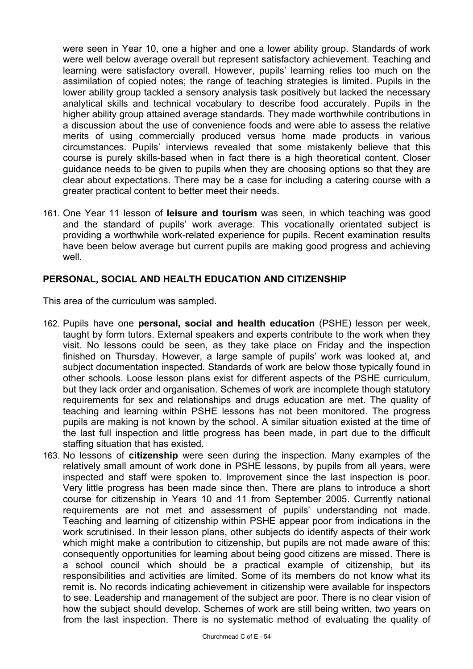were seen in Year 10, one a higher and one a lower ability group. Standards of work were well below average overall but represent satisfactory achievement. Teaching and learning were satisfactory overall. However, pupils' learning relies too much on the assimilation of copied notes; the range of teaching strategies is limited. Pupils in the lower ability group tackled a sensory analysis task positively but lacked the necessary analytical skills and technical vocabulary to describe food accurately. Pupils in the higher ability group attained average standards. They made worthwhile contributions in a discussion about the use of convenience foods and were able to assess the relative merits of using commercially produced versus home made products in various circumstances. Pupils' interviews revealed that some mistakenly believe that this course is purely skills-based when in fact there is a high theoretical content. Closer guidance needs to be given to pupils when they are choosing options so that they are clear about expectations. There may be a case for including a catering course with a greater practical content to better meet their needs.

161. One Year 11 lesson of **leisure and tourism** was seen, in which teaching was good and the standard of pupils' work average. This vocationally orientated subject is providing a worthwhile work-related experience for pupils. Recent examination results have been below average but current pupils are making good progress and achieving well.

## **PERSONAL, SOCIAL AND HEALTH EDUCATION AND CITIZENSHIP**

This area of the curriculum was sampled.

- 162. Pupils have one **personal, social and health education** (PSHE) lesson per week, taught by form tutors. External speakers and experts contribute to the work when they visit. No lessons could be seen, as they take place on Friday and the inspection finished on Thursday. However, a large sample of pupils' work was looked at, and subject documentation inspected. Standards of work are below those typically found in other schools. Loose lesson plans exist for different aspects of the PSHE curriculum, but they lack order and organisation. Schemes of work are incomplete though statutory requirements for sex and relationships and drugs education are met. The quality of teaching and learning within PSHE lessons has not been monitored. The progress pupils are making is not known by the school. A similar situation existed at the time of the last full inspection and little progress has been made, in part due to the difficult staffing situation that has existed.
- 163. No lessons of **citizenship** were seen during the inspection. Many examples of the relatively small amount of work done in PSHE lessons, by pupils from all years, were inspected and staff were spoken to. Improvement since the last inspection is poor. Very little progress has been made since then. There are plans to introduce a short course for citizenship in Years 10 and 11 from September 2005. Currently national requirements are not met and assessment of pupils' understanding not made. Teaching and learning of citizenship within PSHE appear poor from indications in the work scrutinised. In their lesson plans, other subjects do identify aspects of their work which might make a contribution to citizenship, but pupils are not made aware of this; consequently opportunities for learning about being good citizens are missed. There is a school council which should be a practical example of citizenship, but its responsibilities and activities are limited. Some of its members do not know what its remit is. No records indicating achievement in citizenship were available for inspectors to see. Leadership and management of the subject are poor. There is no clear vision of how the subject should develop. Schemes of work are still being written, two years on from the last inspection. There is no systematic method of evaluating the quality of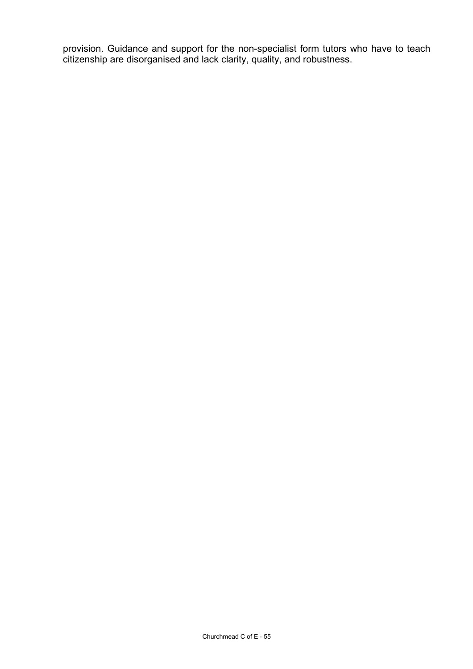provision. Guidance and support for the non-specialist form tutors who have to teach citizenship are disorganised and lack clarity, quality, and robustness.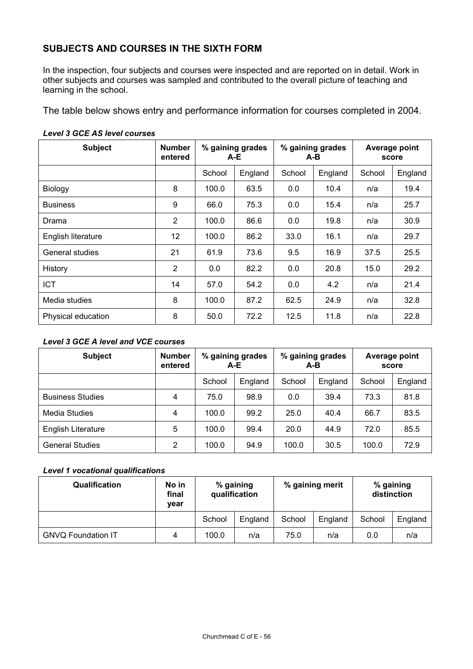# **SUBJECTS AND COURSES IN THE SIXTH FORM**

In the inspection, four subjects and courses were inspected and are reported on in detail. Work in other subjects and courses was sampled and contributed to the overall picture of teaching and learning in the school.

The table below shows entry and performance information for courses completed in 2004.

| <b>Subject</b>     | <b>Number</b><br>entered | % gaining grades<br>A-E |         | % gaining grades<br>A-B |         | Average point<br>score |         |
|--------------------|--------------------------|-------------------------|---------|-------------------------|---------|------------------------|---------|
|                    |                          | School                  | England | School                  | England | School                 | England |
| Biology            | 8                        | 100.0                   | 63.5    | 0.0                     | 10.4    | n/a                    | 19.4    |
| <b>Business</b>    | 9                        | 66.0                    | 75.3    | 0.0                     | 15.4    | n/a                    | 25.7    |
| Drama              | $\overline{2}$           | 100.0                   | 86.6    | 0.0                     | 19.8    | n/a                    | 30.9    |
| English literature | 12                       | 100.0                   | 86.2    | 33.0                    | 16.1    | n/a                    | 29.7    |
| General studies    | 21                       | 61.9                    | 73.6    | 9.5                     | 16.9    | 37.5                   | 25.5    |
| History            | $\overline{2}$           | 0.0                     | 82.2    | 0.0                     | 20.8    | 15.0                   | 29.2    |
| <b>ICT</b>         | 14                       | 57.0                    | 54.2    | 0.0                     | 4.2     | n/a                    | 21.4    |
| Media studies      | 8                        | 100.0                   | 87.2    | 62.5                    | 24.9    | n/a                    | 32.8    |
| Physical education | 8                        | 50.0                    | 72.2    | 12.5                    | 11.8    | n/a                    | 22.8    |

#### *Level 3 GCE AS level courses*

#### *Level 3 GCE A level and VCE courses*

| <b>Subject</b>          | <b>Number</b><br>entered | % gaining grades<br>A-E |         | % gaining grades<br>A-B |         | Average point<br>score |         |
|-------------------------|--------------------------|-------------------------|---------|-------------------------|---------|------------------------|---------|
|                         |                          | School                  | England | School                  | England | School                 | England |
| <b>Business Studies</b> | 4                        | 75.0                    | 98.9    | 0.0                     | 39.4    | 73.3                   | 81.8    |
| Media Studies           | 4                        | 100.0                   | 99.2    | 25.0                    | 40.4    | 66.7                   | 83.5    |
| English Literature      | 5                        | 100.0                   | 99.4    | 20.0                    | 44.9    | 72.0                   | 85.5    |
| <b>General Studies</b>  | 2                        | 100.0                   | 94.9    | 100.0                   | 30.5    | 100.0                  | 72.9    |

#### *Level 1 vocational qualifications*

| Qualification             | No in<br>final<br>vear | % gaining<br>qualification |         | % gaining merit |         | % gaining<br>distinction |         |
|---------------------------|------------------------|----------------------------|---------|-----------------|---------|--------------------------|---------|
|                           |                        | School                     | England | School          | England | School                   | England |
| <b>GNVQ Foundation IT</b> | 4                      | 100.0                      | n/a     | 75.0            | n/a     | 0.0                      | n/a     |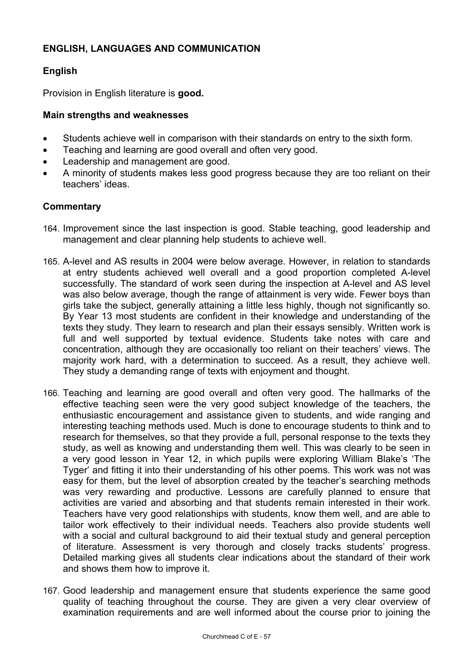# **ENGLISH, LANGUAGES AND COMMUNICATION**

# **English**

Provision in English literature is **good.** 

## **Main strengths and weaknesses**

- Students achieve well in comparison with their standards on entry to the sixth form.
- Teaching and learning are good overall and often very good.
- Leadership and management are good.
- A minority of students makes less good progress because they are too reliant on their teachers' ideas.

- 164. Improvement since the last inspection is good. Stable teaching, good leadership and management and clear planning help students to achieve well.
- 165. A-level and AS results in 2004 were below average. However, in relation to standards at entry students achieved well overall and a good proportion completed A-level successfully. The standard of work seen during the inspection at A-level and AS level was also below average, though the range of attainment is very wide. Fewer boys than girls take the subject, generally attaining a little less highly, though not significantly so. By Year 13 most students are confident in their knowledge and understanding of the texts they study. They learn to research and plan their essays sensibly. Written work is full and well supported by textual evidence. Students take notes with care and concentration, although they are occasionally too reliant on their teachers' views. The majority work hard, with a determination to succeed. As a result, they achieve well. They study a demanding range of texts with enjoyment and thought.
- 166. Teaching and learning are good overall and often very good. The hallmarks of the effective teaching seen were the very good subject knowledge of the teachers, the enthusiastic encouragement and assistance given to students, and wide ranging and interesting teaching methods used. Much is done to encourage students to think and to research for themselves, so that they provide a full, personal response to the texts they study, as well as knowing and understanding them well. This was clearly to be seen in a very good lesson in Year 12, in which pupils were exploring William Blake's 'The Tyger' and fitting it into their understanding of his other poems. This work was not was easy for them, but the level of absorption created by the teacher's searching methods was very rewarding and productive. Lessons are carefully planned to ensure that activities are varied and absorbing and that students remain interested in their work. Teachers have very good relationships with students, know them well, and are able to tailor work effectively to their individual needs. Teachers also provide students well with a social and cultural background to aid their textual study and general perception of literature. Assessment is very thorough and closely tracks students' progress. Detailed marking gives all students clear indications about the standard of their work and shows them how to improve it.
- 167. Good leadership and management ensure that students experience the same good quality of teaching throughout the course. They are given a very clear overview of examination requirements and are well informed about the course prior to joining the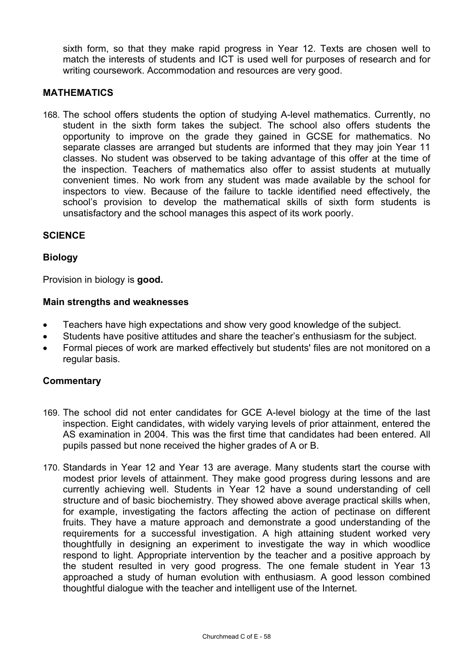sixth form, so that they make rapid progress in Year 12. Texts are chosen well to match the interests of students and ICT is used well for purposes of research and for writing coursework. Accommodation and resources are very good.

## **MATHEMATICS**

168. The school offers students the option of studying A-level mathematics. Currently, no student in the sixth form takes the subject. The school also offers students the opportunity to improve on the grade they gained in GCSE for mathematics. No separate classes are arranged but students are informed that they may join Year 11 classes. No student was observed to be taking advantage of this offer at the time of the inspection. Teachers of mathematics also offer to assist students at mutually convenient times. No work from any student was made available by the school for inspectors to view. Because of the failure to tackle identified need effectively, the school's provision to develop the mathematical skills of sixth form students is unsatisfactory and the school manages this aspect of its work poorly.

## **SCIENCE**

#### **Biology**

Provision in biology is **good.** 

#### **Main strengths and weaknesses**

- Teachers have high expectations and show very good knowledge of the subject.
- Students have positive attitudes and share the teacher's enthusiasm for the subject.
- Formal pieces of work are marked effectively but students' files are not monitored on a regular basis.

- 169. The school did not enter candidates for GCE A-level biology at the time of the last inspection. Eight candidates, with widely varying levels of prior attainment, entered the AS examination in 2004. This was the first time that candidates had been entered. All pupils passed but none received the higher grades of A or B.
- 170. Standards in Year 12 and Year 13 are average. Many students start the course with modest prior levels of attainment. They make good progress during lessons and are currently achieving well. Students in Year 12 have a sound understanding of cell structure and of basic biochemistry. They showed above average practical skills when, for example, investigating the factors affecting the action of pectinase on different fruits. They have a mature approach and demonstrate a good understanding of the requirements for a successful investigation. A high attaining student worked very thoughtfully in designing an experiment to investigate the way in which woodlice respond to light. Appropriate intervention by the teacher and a positive approach by the student resulted in very good progress. The one female student in Year 13 approached a study of human evolution with enthusiasm. A good lesson combined thoughtful dialogue with the teacher and intelligent use of the Internet.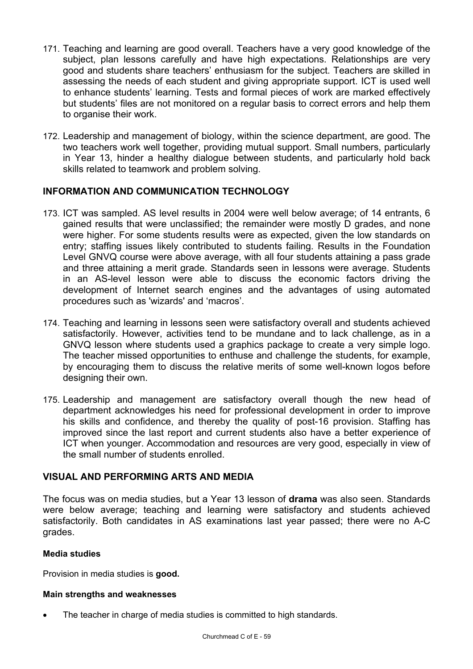- 171. Teaching and learning are good overall. Teachers have a very good knowledge of the subject, plan lessons carefully and have high expectations. Relationships are very good and students share teachers' enthusiasm for the subject. Teachers are skilled in assessing the needs of each student and giving appropriate support. ICT is used well to enhance students' learning. Tests and formal pieces of work are marked effectively but students' files are not monitored on a regular basis to correct errors and help them to organise their work.
- 172. Leadership and management of biology, within the science department, are good. The two teachers work well together, providing mutual support. Small numbers, particularly in Year 13, hinder a healthy dialogue between students, and particularly hold back skills related to teamwork and problem solving.

# **INFORMATION AND COMMUNICATION TECHNOLOGY**

- 173. ICT was sampled. AS level results in 2004 were well below average; of 14 entrants, 6 gained results that were unclassified; the remainder were mostly D grades, and none were higher. For some students results were as expected, given the low standards on entry; staffing issues likely contributed to students failing. Results in the Foundation Level GNVQ course were above average, with all four students attaining a pass grade and three attaining a merit grade. Standards seen in lessons were average. Students in an AS-level lesson were able to discuss the economic factors driving the development of Internet search engines and the advantages of using automated procedures such as 'wizards' and 'macros'.
- 174. Teaching and learning in lessons seen were satisfactory overall and students achieved satisfactorily. However, activities tend to be mundane and to lack challenge, as in a GNVQ lesson where students used a graphics package to create a very simple logo. The teacher missed opportunities to enthuse and challenge the students, for example, by encouraging them to discuss the relative merits of some well-known logos before designing their own.
- 175. Leadership and management are satisfactory overall though the new head of department acknowledges his need for professional development in order to improve his skills and confidence, and thereby the quality of post-16 provision. Staffing has improved since the last report and current students also have a better experience of ICT when younger. Accommodation and resources are very good, especially in view of the small number of students enrolled.

## **VISUAL AND PERFORMING ARTS AND MEDIA**

The focus was on media studies, but a Year 13 lesson of **drama** was also seen. Standards were below average; teaching and learning were satisfactory and students achieved satisfactorily. Both candidates in AS examinations last year passed; there were no A-C grades.

#### **Media studies**

Provision in media studies is **good.** 

#### **Main strengths and weaknesses**

The teacher in charge of media studies is committed to high standards.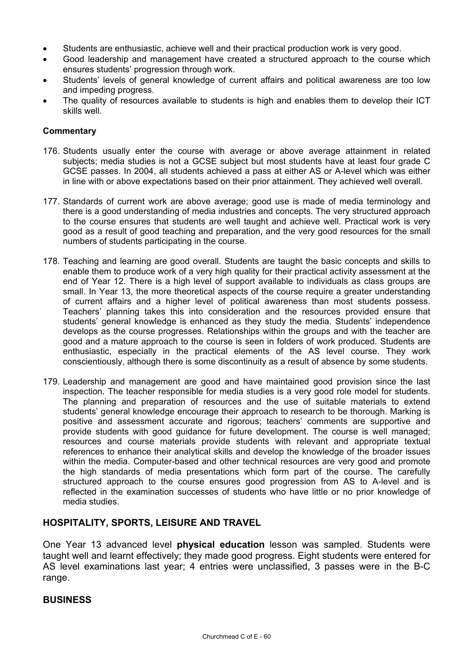- Students are enthusiastic, achieve well and their practical production work is very good.
- Good leadership and management have created a structured approach to the course which ensures students' progression through work.
- Students' levels of general knowledge of current affairs and political awareness are too low and impeding progress.
- The quality of resources available to students is high and enables them to develop their ICT skills well.

#### **Commentary**

- 176. Students usually enter the course with average or above average attainment in related subjects; media studies is not a GCSE subject but most students have at least four grade C GCSE passes. In 2004, all students achieved a pass at either AS or A-level which was either in line with or above expectations based on their prior attainment. They achieved well overall.
- 177. Standards of current work are above average; good use is made of media terminology and there is a good understanding of media industries and concepts. The very structured approach to the course ensures that students are well taught and achieve well. Practical work is very good as a result of good teaching and preparation, and the very good resources for the small numbers of students participating in the course.
- 178. Teaching and learning are good overall. Students are taught the basic concepts and skills to enable them to produce work of a very high quality for their practical activity assessment at the end of Year 12. There is a high level of support available to individuals as class groups are small. In Year 13, the more theoretical aspects of the course require a greater understanding of current affairs and a higher level of political awareness than most students possess. Teachers' planning takes this into consideration and the resources provided ensure that students' general knowledge is enhanced as they study the media. Students' independence develops as the course progresses. Relationships within the groups and with the teacher are good and a mature approach to the course is seen in folders of work produced. Students are enthusiastic, especially in the practical elements of the AS level course. They work conscientiously, although there is some discontinuity as a result of absence by some students.
- 179. Leadership and management are good and have maintained good provision since the last inspection. The teacher responsible for media studies is a very good role model for students. The planning and preparation of resources and the use of suitable materials to extend students' general knowledge encourage their approach to research to be thorough. Marking is positive and assessment accurate and rigorous; teachers' comments are supportive and provide students with good guidance for future development. The course is well managed; resources and course materials provide students with relevant and appropriate textual references to enhance their analytical skills and develop the knowledge of the broader issues within the media. Computer-based and other technical resources are very good and promote the high standards of media presentations which form part of the course. The carefully structured approach to the course ensures good progression from AS to A-level and is reflected in the examination successes of students who have little or no prior knowledge of media studies.

## **HOSPITALITY, SPORTS, LEISURE AND TRAVEL**

One Year 13 advanced level **physical education** lesson was sampled. Students were taught well and learnt effectively; they made good progress. Eight students were entered for AS level examinations last year; 4 entries were unclassified, 3 passes were in the B-C range.

#### **BUSINESS**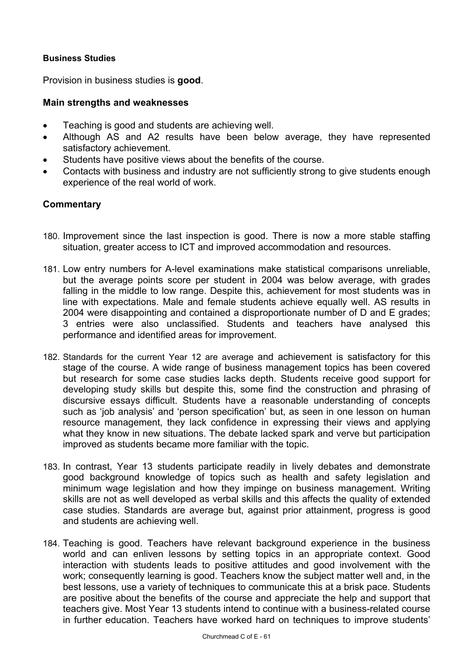## **Business Studies**

Provision in business studies is **good**.

#### **Main strengths and weaknesses**

- Teaching is good and students are achieving well.
- Although AS and A2 results have been below average, they have represented satisfactory achievement.
- Students have positive views about the benefits of the course.
- Contacts with business and industry are not sufficiently strong to give students enough experience of the real world of work.

- 180. Improvement since the last inspection is good. There is now a more stable staffing situation, greater access to ICT and improved accommodation and resources.
- 181. Low entry numbers for A-level examinations make statistical comparisons unreliable, but the average points score per student in 2004 was below average, with grades falling in the middle to low range. Despite this, achievement for most students was in line with expectations. Male and female students achieve equally well. AS results in 2004 were disappointing and contained a disproportionate number of D and E grades; 3 entries were also unclassified. Students and teachers have analysed this performance and identified areas for improvement.
- 182. Standards for the current Year 12 are average and achievement is satisfactory for this stage of the course. A wide range of business management topics has been covered but research for some case studies lacks depth. Students receive good support for developing study skills but despite this, some find the construction and phrasing of discursive essays difficult. Students have a reasonable understanding of concepts such as 'job analysis' and 'person specification' but, as seen in one lesson on human resource management, they lack confidence in expressing their views and applying what they know in new situations. The debate lacked spark and verve but participation improved as students became more familiar with the topic.
- 183. In contrast, Year 13 students participate readily in lively debates and demonstrate good background knowledge of topics such as health and safety legislation and minimum wage legislation and how they impinge on business management. Writing skills are not as well developed as verbal skills and this affects the quality of extended case studies. Standards are average but, against prior attainment, progress is good and students are achieving well.
- 184. Teaching is good. Teachers have relevant background experience in the business world and can enliven lessons by setting topics in an appropriate context. Good interaction with students leads to positive attitudes and good involvement with the work; consequently learning is good. Teachers know the subject matter well and, in the best lessons, use a variety of techniques to communicate this at a brisk pace. Students are positive about the benefits of the course and appreciate the help and support that teachers give. Most Year 13 students intend to continue with a business-related course in further education. Teachers have worked hard on techniques to improve students'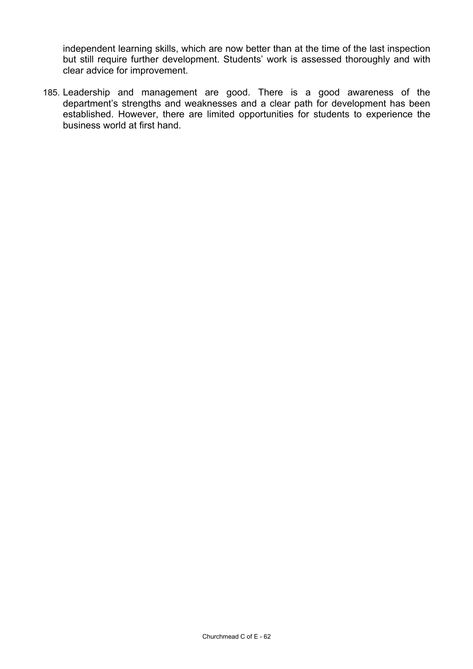independent learning skills, which are now better than at the time of the last inspection but still require further development. Students' work is assessed thoroughly and with clear advice for improvement.

185. Leadership and management are good. There is a good awareness of the department's strengths and weaknesses and a clear path for development has been established. However, there are limited opportunities for students to experience the business world at first hand.